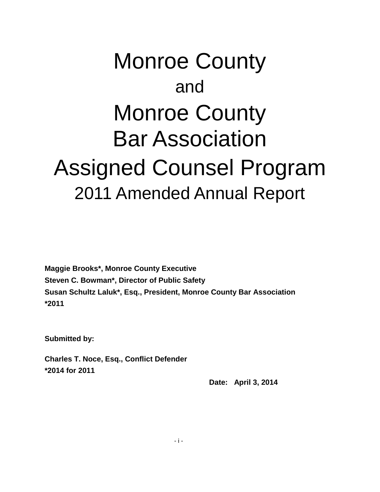# Monroe County and Monroe County Bar Association Assigned Counsel Program 2011 Amended Annual Report

**Maggie Brooks\*, Monroe County Executive Steven C. Bowman\*, Director of Public Safety Susan Schultz Laluk\*, Esq., President, Monroe County Bar Association \*2011**

**Submitted by:**

**Charles T. Noce, Esq., Conflict Defender \*2014 for 2011**

 **Date: April 3, 2014**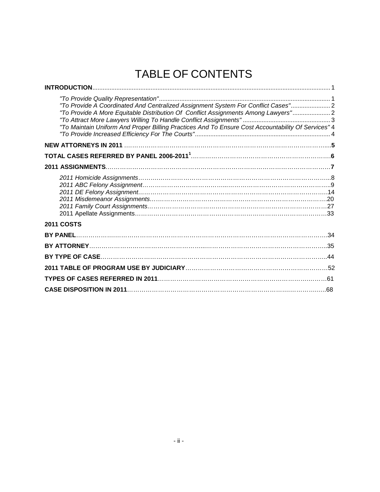# TABLE OF CONTENTS

| "To Provide A Coordinated And Centralized Assignment System For Conflict Cases"2<br>"To Provide A More Equitable Distribution Of Conflict Assignments Among Lawyers"2<br>"To Maintain Uniform And Proper Billing Practices And To Ensure Cost Accountability Of Services" 4 |
|-----------------------------------------------------------------------------------------------------------------------------------------------------------------------------------------------------------------------------------------------------------------------------|
|                                                                                                                                                                                                                                                                             |
|                                                                                                                                                                                                                                                                             |
|                                                                                                                                                                                                                                                                             |
|                                                                                                                                                                                                                                                                             |
| <b>2011 COSTS</b>                                                                                                                                                                                                                                                           |
|                                                                                                                                                                                                                                                                             |
|                                                                                                                                                                                                                                                                             |
|                                                                                                                                                                                                                                                                             |
|                                                                                                                                                                                                                                                                             |
|                                                                                                                                                                                                                                                                             |
|                                                                                                                                                                                                                                                                             |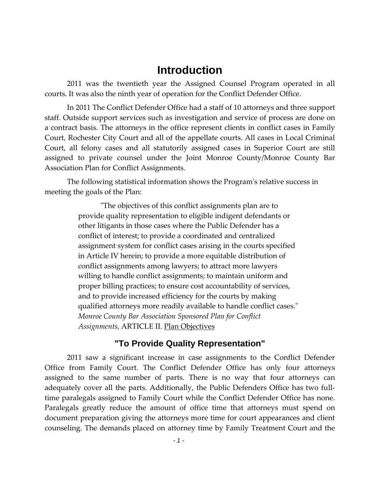### **Introduction**

2011 was the twentieth year the Assigned Counsel Program operated in all courts. It was also the ninth year of operation for the Conflict Defender Office.

In 2011 The Conflict Defender Office had a staff of 10 attorneys and three support staff. Outside support services such as investigation and service of process are done on a contract basis. The attorneys in the office represent clients in conflict cases in Family Court, Rochester City Court and all of the appellate courts. All cases in Local Criminal Court, all felony cases and all statutorily assigned cases in Superior Court are still assigned to private counsel under the Joint Monroe County/Monroe County Bar Association Plan for Conflict Assignments.

The following statistical information shows the Program's relative success in meeting the goals of the Plan:

> "The objectives of this conflict assignments plan are to provide quality representation to eligible indigent defendants or other litigants in those cases where the Public Defender has a conflict of interest; to provide a coordinated and centralized assignment system for conflict cases arising in the courts specified in Article IV herein; to provide a more equitable distribution of conflict assignments among lawyers; to attract more lawyers willing to handle conflict assignments; to maintain uniform and proper billing practices; to ensure cost accountability of services, and to provide increased efficiency for the courts by making qualified attorneys more readily available to handle conflict cases." *Monroe County Bar Association Sponsored Plan for Conflict Assignments*, ARTICLE II. Plan Objectives

#### **"To Provide Quality Representation"**

2011 saw a significant increase in case assignments to the Conflict Defender Office from Family Court. The Conflict Defender Office has only four attorneys assigned to the same number of parts. There is no way that four attorneys can adequately cover all the parts. Additionally, the Public Defenders Office has two fulltime paralegals assigned to Family Court while the Conflict Defender Office has none. Paralegals greatly reduce the amount of office time that attorneys must spend on document preparation giving the attorneys more time for court appearances and client counseling. The demands placed on attorney time by Family Treatment Court and the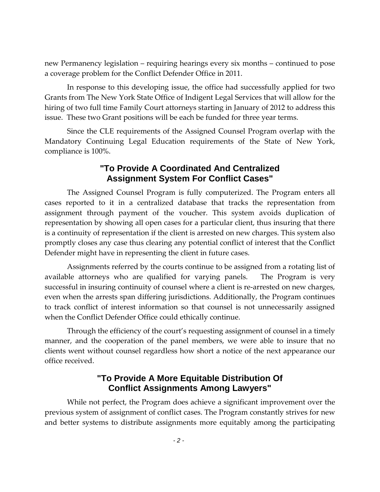new Permanency legislation – requiring hearings every six months – continued to pose a coverage problem for the Conflict Defender Office in 2011.

In response to this developing issue, the office had successfully applied for two Grants from The New York State Office of Indigent Legal Services that will allow for the hiring of two full time Family Court attorneys starting in January of 2012 to address this issue. These two Grant positions will be each be funded for three year terms.

Since the CLE requirements of the Assigned Counsel Program overlap with the Mandatory Continuing Legal Education requirements of the State of New York, compliance is 100%.

#### **"To Provide A Coordinated And Centralized Assignment System For Conflict Cases"**

The Assigned Counsel Program is fully computerized. The Program enters all cases reported to it in a centralized database that tracks the representation from assignment through payment of the voucher. This system avoids duplication of representation by showing all open cases for a particular client, thus insuring that there is a continuity of representation if the client is arrested on new charges. This system also promptly closes any case thus clearing any potential conflict of interest that the Conflict Defender might have in representing the client in future cases.

Assignments referred by the courts continue to be assigned from a rotating list of available attorneys who are qualified for varying panels. The Program is very successful in insuring continuity of counsel where a client is re-arrested on new charges, even when the arrests span differing jurisdictions. Additionally, the Program continues to track conflict of interest information so that counsel is not unnecessarily assigned when the Conflict Defender Office could ethically continue.

Through the efficiency of the court's requesting assignment of counsel in a timely manner, and the cooperation of the panel members, we were able to insure that no clients went without counsel regardless how short a notice of the next appearance our office received.

### **"To Provide A More Equitable Distribution Of Conflict Assignments Among Lawyers"**

While not perfect, the Program does achieve a significant improvement over the previous system of assignment of conflict cases. The Program constantly strives for new and better systems to distribute assignments more equitably among the participating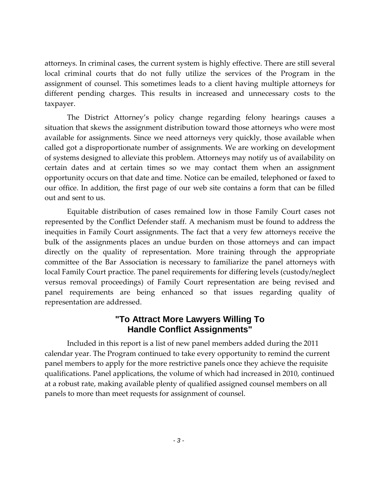attorneys. In criminal cases, the current system is highly effective. There are still several local criminal courts that do not fully utilize the services of the Program in the assignment of counsel. This sometimes leads to a client having multiple attorneys for different pending charges. This results in increased and unnecessary costs to the taxpayer.

The District Attorney's policy change regarding felony hearings causes a situation that skews the assignment distribution toward those attorneys who were most available for assignments. Since we need attorneys very quickly, those available when called got a disproportionate number of assignments. We are working on development of systems designed to alleviate this problem. Attorneys may notify us of availability on certain dates and at certain times so we may contact them when an assignment opportunity occurs on that date and time. Notice can be emailed, telephoned or faxed to our office. In addition, the first page of our web site contains a form that can be filled out and sent to us.

Equitable distribution of cases remained low in those Family Court cases not represented by the Conflict Defender staff. A mechanism must be found to address the inequities in Family Court assignments. The fact that a very few attorneys receive the bulk of the assignments places an undue burden on those attorneys and can impact directly on the quality of representation. More training through the appropriate committee of the Bar Association is necessary to familiarize the panel attorneys with local Family Court practice. The panel requirements for differing levels (custody/neglect versus removal proceedings) of Family Court representation are being revised and panel requirements are being enhanced so that issues regarding quality of representation are addressed.

#### **"To Attract More Lawyers Willing To Handle Conflict Assignments"**

Included in this report is a list of new panel members added during the 2011 calendar year. The Program continued to take every opportunity to remind the current panel members to apply for the more restrictive panels once they achieve the requisite qualifications. Panel applications, the volume of which had increased in 2010, continued at a robust rate, making available plenty of qualified assigned counsel members on all panels to more than meet requests for assignment of counsel.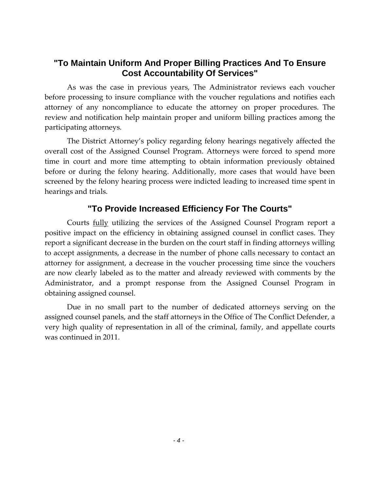#### **"To Maintain Uniform And Proper Billing Practices And To Ensure Cost Accountability Of Services"**

As was the case in previous years, The Administrator reviews each voucher before processing to insure compliance with the voucher regulations and notifies each attorney of any noncompliance to educate the attorney on proper procedures. The review and notification help maintain proper and uniform billing practices among the participating attorneys.

The District Attorney's policy regarding felony hearings negatively affected the overall cost of the Assigned Counsel Program. Attorneys were forced to spend more time in court and more time attempting to obtain information previously obtained before or during the felony hearing. Additionally, more cases that would have been screened by the felony hearing process were indicted leading to increased time spent in hearings and trials.

### **"To Provide Increased Efficiency For The Courts"**

Courts fully utilizing the services of the Assigned Counsel Program report a positive impact on the efficiency in obtaining assigned counsel in conflict cases. They report a significant decrease in the burden on the court staff in finding attorneys willing to accept assignments, a decrease in the number of phone calls necessary to contact an attorney for assignment, a decrease in the voucher processing time since the vouchers are now clearly labeled as to the matter and already reviewed with comments by the Administrator, and a prompt response from the Assigned Counsel Program in obtaining assigned counsel.

Due in no small part to the number of dedicated attorneys serving on the assigned counsel panels, and the staff attorneys in the Office of The Conflict Defender, a very high quality of representation in all of the criminal, family, and appellate courts was continued in 2011.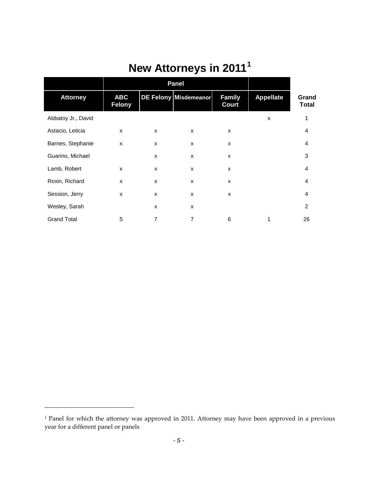|                    |                             | <b>Panel</b> |                       |                               |                  |                       |
|--------------------|-----------------------------|--------------|-----------------------|-------------------------------|------------------|-----------------------|
| <b>Attorney</b>    | <b>ABC</b><br><b>Felony</b> |              | DE Felony Misdemeanor | <b>Family</b><br><b>Court</b> | <b>Appellate</b> | Grand<br><b>Total</b> |
| Abbatoy Jr., David |                             |              |                       |                               | X                | 1                     |
| Astacio, Leticia   | X                           | X            | X                     | X                             |                  | 4                     |
| Barnes, Stephanie  | X                           | X            | X                     | X                             |                  | 4                     |
| Guarino, Michael   |                             | X            | X                     | X                             |                  | 3                     |
| Lamb, Robert       | X                           | X            | X                     | X                             |                  | 4                     |
| Roxin, Richard     | X                           | $\mathsf{x}$ | X                     | X                             |                  | 4                     |
| Session, Jerry     | X                           | X            | X                     | X                             |                  | 4                     |
| Wesley, Sarah      |                             | X            | X                     |                               |                  | 2                     |
| <b>Grand Total</b> | 5                           | 7            | $\overline{7}$        | 6                             | 1                | 26                    |

# **New Attorneys in 2011[1](#page-6-0)**

 $\overline{\phantom{a}}$ 

<span id="page-6-0"></span><sup>&</sup>lt;sup>1</sup> Panel for which the attorney was approved in 2011. Attorney may have been approved in a previous year for a different panel or panels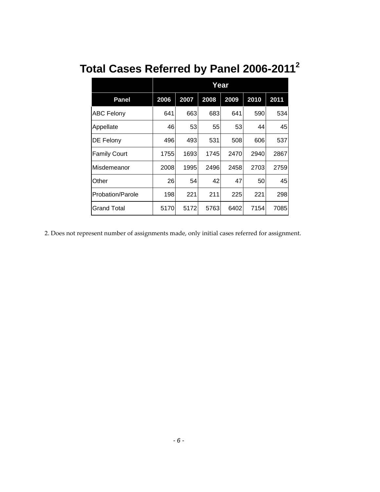|                     |      |      | Year |      |      |      |
|---------------------|------|------|------|------|------|------|
| <b>Panel</b>        | 2006 | 2007 | 2008 | 2009 | 2010 | 2011 |
| <b>ABC Felony</b>   | 641  | 663  | 683  | 641  | 590  | 534  |
| Appellate           | 46   | 53   | 55   | 53   | 44   | 45   |
| DE Felony           | 496  | 493  | 531  | 508  | 606  | 537  |
| <b>Family Court</b> | 1755 | 1693 | 1745 | 2470 | 2940 | 2867 |
| Misdemeanor         | 2008 | 1995 | 2496 | 2458 | 2703 | 2759 |
| Other               | 26   | 54   | 42   | 47   | 50   | 45   |
| Probation/Parole    | 198  | 221  | 211  | 225  | 221  | 298  |
| Grand Total         | 5170 | 5172 | 5763 | 6402 | 7154 | 7085 |

# **Total Cases Referred by Panel 2006-20112**

2. Does not represent number of assignments made, only initial cases referred for assignment.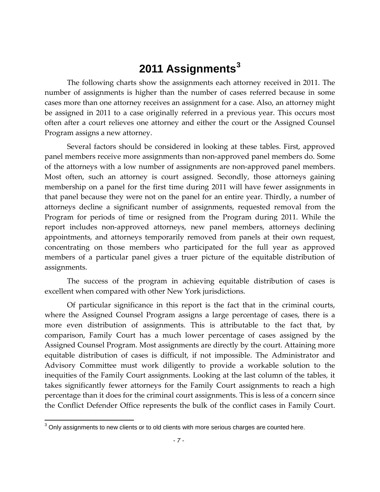# **2011 Assignments[3](#page-8-0)**

The following charts show the assignments each attorney received in 2011. The number of assignments is higher than the number of cases referred because in some cases more than one attorney receives an assignment for a case. Also, an attorney might be assigned in 2011 to a case originally referred in a previous year. This occurs most often after a court relieves one attorney and either the court or the Assigned Counsel Program assigns a new attorney.

Several factors should be considered in looking at these tables. First, approved panel members receive more assignments than non-approved panel members do. Some of the attorneys with a low number of assignments are non-approved panel members. Most often, such an attorney is court assigned. Secondly, those attorneys gaining membership on a panel for the first time during 2011 will have fewer assignments in that panel because they were not on the panel for an entire year. Thirdly, a number of attorneys decline a significant number of assignments, requested removal from the Program for periods of time or resigned from the Program during 2011. While the report includes non-approved attorneys, new panel members, attorneys declining appointments, and attorneys temporarily removed from panels at their own request, concentrating on those members who participated for the full year as approved members of a particular panel gives a truer picture of the equitable distribution of assignments.

The success of the program in achieving equitable distribution of cases is excellent when compared with other New York jurisdictions.

Of particular significance in this report is the fact that in the criminal courts, where the Assigned Counsel Program assigns a large percentage of cases, there is a more even distribution of assignments. This is attributable to the fact that, by comparison, Family Court has a much lower percentage of cases assigned by the Assigned Counsel Program. Most assignments are directly by the court. Attaining more equitable distribution of cases is difficult, if not impossible. The Administrator and Advisory Committee must work diligently to provide a workable solution to the inequities of the Family Court assignments. Looking at the last column of the tables, it takes significantly fewer attorneys for the Family Court assignments to reach a high percentage than it does for the criminal court assignments. This is less of a concern since the Conflict Defender Office represents the bulk of the conflict cases in Family Court.

<span id="page-8-0"></span> $3$  Only assignments to new clients or to old clients with more serious charges are counted here.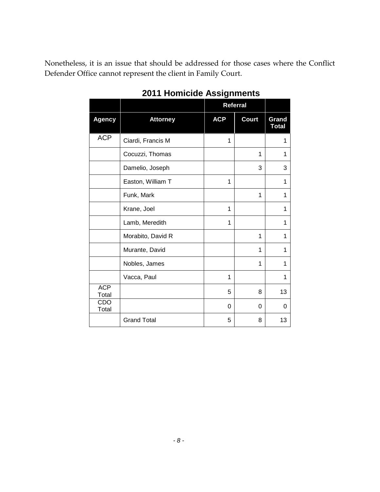Nonetheless, it is an issue that should be addressed for those cases where the Conflict Defender Office cannot represent the client in Family Court.

|                     |                    |            | <b>Referral</b> |                       |
|---------------------|--------------------|------------|-----------------|-----------------------|
| <b>Agency</b>       | <b>Attorney</b>    | <b>ACP</b> | <b>Court</b>    | Grand<br><b>Total</b> |
| <b>ACP</b>          | Ciardi, Francis M  | 1          |                 | 1                     |
|                     | Cocuzzi, Thomas    |            | 1               | 1                     |
|                     | Damelio, Joseph    |            | 3               | 3                     |
|                     | Easton, William T  | 1          |                 | 1                     |
|                     | Funk, Mark         |            | 1               | 1                     |
|                     | Krane, Joel        | 1          |                 | 1                     |
|                     | Lamb, Meredith     | 1          |                 | 1                     |
|                     | Morabito, David R  |            | 1               | 1                     |
|                     | Murante, David     |            | 1               | 1                     |
|                     | Nobles, James      |            | 1               | 1                     |
|                     | Vacca, Paul        | 1          |                 | 1                     |
| <b>ACP</b><br>Total |                    | 5          | 8               | 13                    |
| CDO<br>Total        |                    | 0          | 0               | 0                     |
|                     | <b>Grand Total</b> | 5          | 8               | 13                    |

## **2011 Homicide Assignments**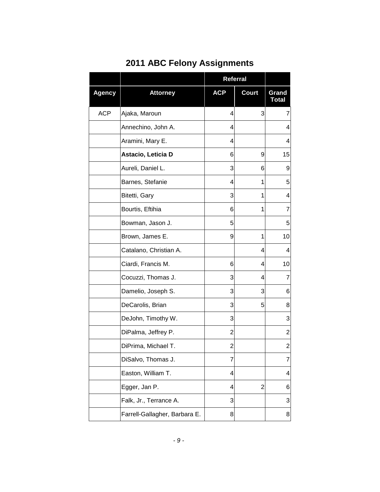|               |                               | Referral       |              |                       |
|---------------|-------------------------------|----------------|--------------|-----------------------|
| <b>Agency</b> | <b>Attorney</b>               | <b>ACP</b>     | <b>Court</b> | Grand<br><b>Total</b> |
| <b>ACP</b>    | Ajaka, Maroun                 | 4              | 3            | $\overline{7}$        |
|               | Annechino, John A.            | 4              |              | 4                     |
|               | Aramini, Mary E.              | 4              |              | 4                     |
|               | Astacio, Leticia D            | 6              | 9            | 15                    |
|               | Aureli, Daniel L.             | 3              | 6            | 9                     |
|               | Barnes, Stefanie              | 4              | 1            | 5                     |
|               | Bitetti, Gary                 | 3              | 1            | 4                     |
|               | Bourtis, Eftihia              | 6              | 1            | $\overline{7}$        |
|               | Bowman, Jason J.              | 5              |              | 5                     |
|               | Brown, James E.               | 9              | 1            | 10                    |
|               | Catalano, Christian A.        |                | 4            | 4                     |
|               | Ciardi, Francis M.            | 6              | 4            | 10                    |
|               | Cocuzzi, Thomas J.            | 3              | 4            | $\overline{7}$        |
|               | Damelio, Joseph S.            | 3              | 3            | 6                     |
|               | DeCarolis, Brian              | 3              | 5            | 8                     |
|               | DeJohn, Timothy W.            | 3              |              | 3                     |
|               | DiPalma, Jeffrey P.           | 2              |              | $\overline{c}$        |
|               | DiPrima, Michael T.           | $\overline{c}$ |              | 2                     |
|               | DiSalvo, Thomas J.            | $\overline{7}$ |              | 7                     |
|               | Easton, William T.            | 4              |              | 4                     |
|               | Egger, Jan P.                 | 4              | 2            | 6                     |
|               | Falk, Jr., Terrance A.        | 3              |              | 3                     |
|               | Farrell-Gallagher, Barbara E. | 8              |              | 8                     |

## **2011 ABC Felony Assignments**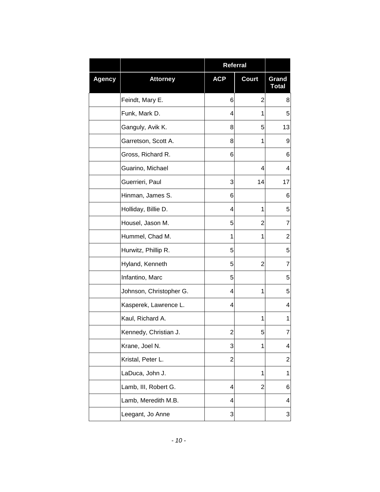|               |                         | <b>Referral</b> |              |                |
|---------------|-------------------------|-----------------|--------------|----------------|
| <b>Agency</b> | <b>Attorney</b>         | <b>ACP</b>      | <b>Court</b> | Grand<br>Total |
|               | Feindt, Mary E.         | 6               | 2            | 8              |
|               | Funk, Mark D.           | 4               | 1            | 5              |
|               | Ganguly, Avik K.        | 8               | 5            | 13             |
|               | Garretson, Scott A.     | 8               | 1            | 9              |
|               | Gross, Richard R.       | 6               |              | 6              |
|               | Guarino, Michael        |                 | 4            | 4              |
|               | Guerrieri, Paul         | 3               | 14           | 17             |
|               | Hinman, James S.        | 6               |              | 6              |
|               | Holliday, Billie D.     | 4               | 1            | 5              |
|               | Housel, Jason M.        | 5               | 2            | 7              |
|               | Hummel, Chad M.         | 1               | 1            | $\overline{2}$ |
|               | Hurwitz, Phillip R.     | 5               |              | 5              |
|               | Hyland, Kenneth         | 5               | 2            | 7              |
|               | Infantino, Marc         | 5               |              | 5              |
|               | Johnson, Christopher G. | 4               | 1            | 5              |
|               | Kasperek, Lawrence L.   | 4               |              | 4              |
|               | Kaul, Richard A.        |                 | 1            | 1              |
|               | Kennedy, Christian J.   | 2               | 5            | 7              |
|               | Krane, Joel N.          | 3               | 1            | 4              |
|               | Kristal, Peter L.       | $\overline{2}$  |              | $\overline{2}$ |
|               | LaDuca, John J.         |                 | 1            | 1              |
|               | Lamb, III, Robert G.    | 4               | 2            | 6              |
|               | Lamb, Meredith M.B.     | 4               |              | 4              |
|               | Leegant, Jo Anne        | 3               |              | 3              |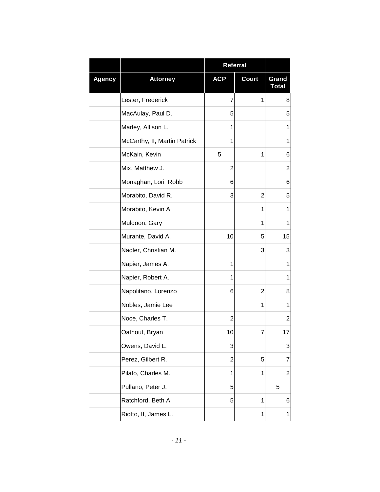|               |                              | <b>Referral</b> |              |                       |
|---------------|------------------------------|-----------------|--------------|-----------------------|
| <b>Agency</b> | <b>Attorney</b>              | <b>ACP</b>      | <b>Court</b> | Grand<br><b>Total</b> |
|               | Lester, Frederick            | 7               | 1            | 8                     |
|               | MacAulay, Paul D.            | 5               |              | 5                     |
|               | Marley, Allison L.           | 1               |              | 1                     |
|               | McCarthy, II, Martin Patrick | 1               |              | 1                     |
|               | McKain, Kevin                | 5               | 1            | 6                     |
|               | Mix, Matthew J.              | $\overline{2}$  |              | 2                     |
|               | Monaghan, Lori Robb          | 6               |              | 6                     |
|               | Morabito, David R.           | 3               | 2            | 5                     |
|               | Morabito, Kevin A.           |                 | 1            | 1                     |
|               | Muldoon, Gary                |                 | 1            | 1                     |
|               | Murante, David A.            | 10              | 5            | 15                    |
|               | Nadler, Christian M.         |                 | 3            | 3                     |
|               | Napier, James A.             | 1               |              | 1                     |
|               | Napier, Robert A.            | 1               |              | 1                     |
|               | Napolitano, Lorenzo          | 6               | 2            | 8                     |
|               | Nobles, Jamie Lee            |                 | 1            | 1                     |
|               | Noce, Charles T.             | $\overline{2}$  |              | $\overline{2}$        |
|               | Oathout, Bryan               | 10              | 7            | 17                    |
|               | Owens, David L.              | 3               |              | 3                     |
|               | Perez, Gilbert R.            | 2               | 5            | 7                     |
|               | Pilato, Charles M.           | 1               | 1            | $\overline{c}$        |
|               | Pullano, Peter J.            | 5               |              | 5                     |
|               | Ratchford, Beth A.           | 5               | 1            | 6                     |
|               | Riotto, II, James L.         |                 | 1            | 1                     |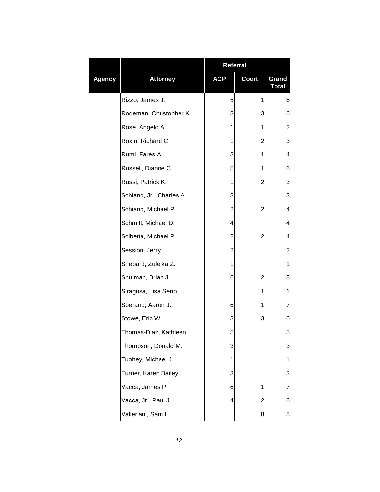|               |                          | <b>Referral</b> |              |                       |
|---------------|--------------------------|-----------------|--------------|-----------------------|
| <b>Agency</b> | <b>Attorney</b>          | <b>ACP</b>      | <b>Court</b> | Grand<br><b>Total</b> |
|               | Rizzo, James J.          | 5               | 1            | 6                     |
|               | Rodeman, Christopher K.  | 3               | 3            | 6                     |
|               | Rose, Angelo A.          | 1               | 1            | 2                     |
|               | Roxin, Richard C         | 1               | 2            | 3                     |
|               | Rumi, Fares A.           | 3               | 1            | 4                     |
|               | Russell, Dianne C.       | 5               | 1            | 6                     |
|               | Russi, Patrick K.        | 1               | 2            | 3                     |
|               | Schiano, Jr., Charles A. | 3               |              | 3                     |
|               | Schiano, Michael P.      | 2               | 2            | 4                     |
|               | Schmitt, Michael D.      | 4               |              | 4                     |
|               | Scibetta, Michael P.     | $\overline{2}$  | 2            | 4                     |
|               | Session, Jerry           | 2               |              | 2                     |
|               | Shepard, Zuleika Z.      | 1               |              | 1                     |
|               | Shulman, Brian J.        | 6               | 2            | 8                     |
|               | Siragusa, Lisa Serio     |                 | 1            | 1                     |
|               | Sperano, Aaron J.        | 6               | 1            | 7                     |
|               | Stowe, Eric W.           | 3               | 3            | 6                     |
|               | Thomas-Diaz, Kathleen    | 5               |              | 5                     |
|               | Thompson, Donald M.      | 3               |              | 3                     |
|               | Tuohey, Michael J.       | 1               |              | 1                     |
|               | Turner, Karen Bailey     | 3               |              | 3                     |
|               | Vacca, James P.          | 6               | 1            | 7                     |
|               | Vacca, Jr., Paul J.      | 4               | 2            | 6                     |
|               | Valleriani, Sam L.       |                 | 8            | 8                     |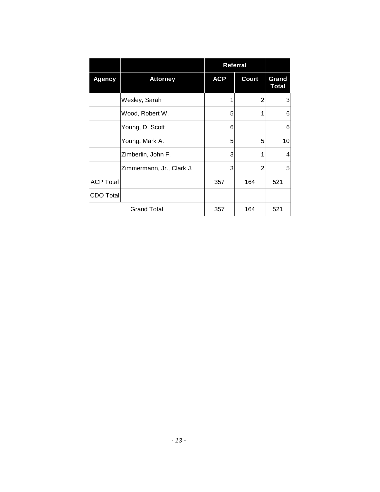|                  |                           |            | Referral     |                       |
|------------------|---------------------------|------------|--------------|-----------------------|
| <b>Agency</b>    | <b>Attorney</b>           | <b>ACP</b> | <b>Court</b> | Grand<br><b>Total</b> |
|                  | Wesley, Sarah             |            | 2            | 3                     |
|                  | Wood, Robert W.           | 5          | 1            | 6                     |
|                  | Young, D. Scott           | 6          |              | 6                     |
|                  | Young, Mark A.            | 5          | 5            | 10 <sup>1</sup>       |
|                  | Zimberlin, John F.        | 3          | 1            | 4                     |
|                  | Zimmermann, Jr., Clark J. | 3          | 2            | 5                     |
| <b>ACP Total</b> |                           | 357        | 164          | 521                   |
| CDO Total        |                           |            |              |                       |
|                  | <b>Grand Total</b>        | 357        | 164          | 521                   |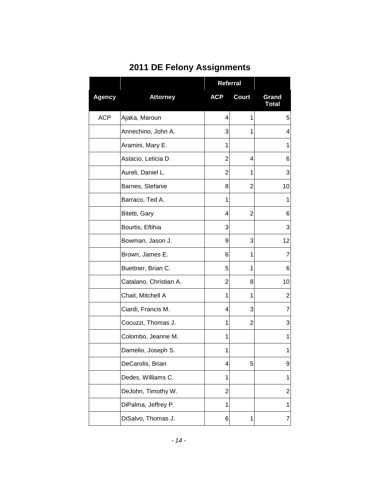|               |                        | Referral   |                |                       |
|---------------|------------------------|------------|----------------|-----------------------|
| <b>Agency</b> | <b>Attorney</b>        | <b>ACP</b> | <b>Court</b>   | Grand<br><b>Total</b> |
| <b>ACP</b>    | Ajaka, Maroun          | 4          | 1              | 5                     |
|               | Annechino, John A.     | 3          | 1              | 4                     |
|               | Aramini, Mary E.       | 1          |                | 1                     |
|               | Astacio, Leticia D     | 2          | 4              | 6                     |
|               | Aureli, Daniel L.      | 2          | 1              | 3                     |
|               | Barnes, Stefanie       | 8          | 2              | 10                    |
|               | Barraco, Ted A.        | 1          |                | 1                     |
|               | Bitetti, Gary          | 4          | 2              | 6                     |
|               | Bourtis, Eftihia       | 3          |                | 3                     |
|               | Bowman, Jason J.       | 9          | 3              | 12                    |
|               | Brown, James E.        | 6          | 1              | $\overline{7}$        |
|               | Buettner, Brian C.     | 5          | 1              | 6                     |
|               | Catalano, Christian A. | 2          | 8              | 10                    |
|               | Chait, Mitchell A      | 1          | 1              | 2                     |
|               | Ciardi, Francis M.     | 4          | 3              | 7                     |
|               | Cocuzzi, Thomas J.     | 1          | $\overline{2}$ | 3                     |
|               | Colombo, Jeanne M.     | 1          |                | 1                     |
|               | Damelio, Joseph S.     | 1          |                | 1                     |
|               | DeCarolis, Brian       | 4          | 5              | 9                     |
|               | Dedes, Williams C.     | 1          |                | 1                     |
|               | DeJohn, Timothy W.     | 2          |                | $\overline{2}$        |
|               | DiPalma, Jeffrey P.    | 1          |                | 1                     |
|               | DiSalvo, Thomas J.     | 6          | 1              | 7                     |

# **2011 DE Felony Assignments**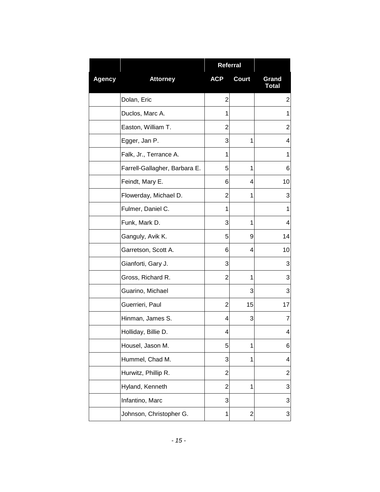|               |                               | <b>Referral</b> |                |                       |
|---------------|-------------------------------|-----------------|----------------|-----------------------|
| <b>Agency</b> | <b>Attorney</b>               | <b>ACP</b>      | <b>Court</b>   | Grand<br><b>Total</b> |
|               | Dolan, Eric                   | $\overline{2}$  |                | $\overline{2}$        |
|               | Duclos, Marc A.               | 1               |                | 1                     |
|               | Easton, William T.            | 2               |                | 2                     |
|               | Egger, Jan P.                 | 3               | 1              | 4                     |
|               | Falk, Jr., Terrance A.        | 1               |                | 1                     |
|               | Farrell-Gallagher, Barbara E. | 5               | 1              | 6                     |
|               | Feindt, Mary E.               | 6               | 4              | 10                    |
|               | Flowerday, Michael D.         | 2               | 1              | 3                     |
|               | Fulmer, Daniel C.             | 1               |                | 1                     |
|               | Funk, Mark D.                 | 3               | 1              | 4                     |
|               | Ganguly, Avik K.              | 5               | 9              | 14                    |
|               | Garretson, Scott A.           | 6               | 4              | 10                    |
|               | Gianforti, Gary J.            | 3               |                | 3                     |
|               | Gross, Richard R.             | 2               | 1              | 3                     |
|               | Guarino, Michael              |                 | 3              | 3                     |
|               | Guerrieri, Paul               | $\overline{2}$  | 15             | 17                    |
|               | Hinman, James S.              | 4               | 3              | $\overline{7}$        |
|               | Holliday, Billie D.           | 4               |                | 4                     |
|               | Housel, Jason M.              | 5               | 1              | 6                     |
|               | Hummel, Chad M.               | 3               | 1              | 4                     |
|               | Hurwitz, Phillip R.           | $\overline{2}$  |                | 2                     |
|               | Hyland, Kenneth               | 2               | 1              | 3                     |
|               | Infantino, Marc               | 3               |                | 3                     |
|               | Johnson, Christopher G.       | 1               | $\overline{2}$ | 3                     |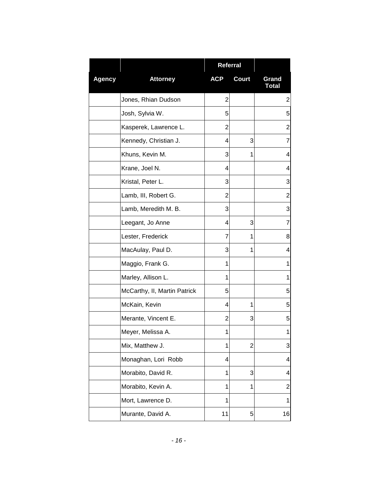|               |                              | <b>Referral</b> |              |                       |
|---------------|------------------------------|-----------------|--------------|-----------------------|
| <b>Agency</b> | <b>Attorney</b>              | <b>ACP</b>      | <b>Court</b> | Grand<br><b>Total</b> |
|               | Jones, Rhian Dudson          | $\overline{2}$  |              | 2                     |
|               | Josh, Sylvia W.              | 5               |              | 5                     |
|               | Kasperek, Lawrence L.        | 2               |              | $\overline{c}$        |
|               | Kennedy, Christian J.        | 4               | 3            | 7                     |
|               | Khuns, Kevin M.              | 3               | 1            | 4                     |
|               | Krane, Joel N.               | 4               |              | 4                     |
|               | Kristal, Peter L.            | 3               |              | 3                     |
|               | Lamb, III, Robert G.         | 2               |              | $\overline{2}$        |
|               | Lamb, Meredith M. B.         | 3               |              | 3                     |
|               | Leegant, Jo Anne             | 4               | 3            | $\overline{7}$        |
|               | Lester, Frederick            | $\overline{7}$  | 1            | 8                     |
|               | MacAulay, Paul D.            | 3               | 1            | 4                     |
|               | Maggio, Frank G.             | 1               |              | 1                     |
|               | Marley, Allison L.           | 1               |              | 1                     |
|               | McCarthy, II, Martin Patrick | 5               |              | 5                     |
|               | McKain, Kevin                | 4               | 1            | 5                     |
|               | Merante, Vincent E.          | 2               | 3            | 5                     |
|               | Meyer, Melissa A.            | 1               |              | 1                     |
|               | Mix, Matthew J.              | 1               | 2            | 3                     |
|               | Monaghan, Lori Robb          | 4               |              | 4                     |
|               | Morabito, David R.           | 1               | 3            | 4                     |
|               | Morabito, Kevin A.           | 1               | 1            | $\overline{c}$        |
|               | Mort, Lawrence D.            | 1               |              | 1                     |
|               | Murante, David A.            | 11              | 5            | 16                    |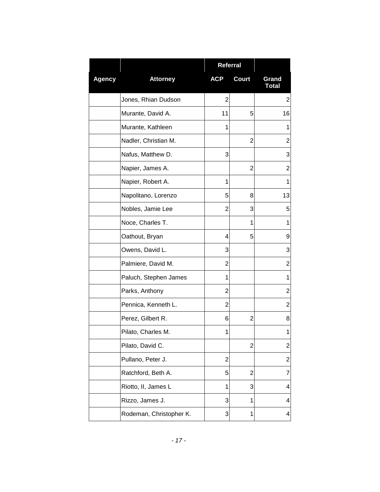|               |                         | <b>Referral</b> |                |                       |
|---------------|-------------------------|-----------------|----------------|-----------------------|
| <b>Agency</b> | <b>Attorney</b>         | <b>ACP</b>      | <b>Court</b>   | Grand<br><b>Total</b> |
|               | Jones, Rhian Dudson     | $\overline{2}$  |                | 2                     |
|               | Murante, David A.       | 11              | 5              | 16                    |
|               | Murante, Kathleen       | 1               |                | 1                     |
|               | Nadler, Christian M.    |                 | 2              | 2                     |
|               | Nafus, Matthew D.       | 3               |                | 3                     |
|               | Napier, James A.        |                 | $\overline{2}$ | 2                     |
|               | Napier, Robert A.       | 1               |                | 1                     |
|               | Napolitano, Lorenzo     | 5               | 8              | 13                    |
|               | Nobles, Jamie Lee       | 2               | 3              | 5                     |
|               | Noce, Charles T.        |                 | 1              | 1                     |
|               | Oathout, Bryan          | 4               | 5              | 9                     |
|               | Owens, David L.         | 3               |                | 3                     |
|               | Palmiere, David M.      | 2               |                | $\overline{2}$        |
|               | Paluch, Stephen James   | 1               |                | 1                     |
|               | Parks, Anthony          | 2               |                | 2                     |
|               | Pennica, Kenneth L.     | 2               |                | $\overline{2}$        |
|               | Perez, Gilbert R.       | 6               | $\overline{2}$ | 8                     |
|               | Pilato, Charles M.      | 1               |                | 1                     |
|               | Pilato, David C.        |                 | 2              | $\overline{2}$        |
|               | Pullano, Peter J.       | $\overline{c}$  |                | $\overline{c}$        |
|               | Ratchford, Beth A.      | 5               | $\overline{c}$ | 7                     |
|               | Riotto, II, James L     | 1               | 3              | 4                     |
|               | Rizzo, James J.         | 3               | 1              | 4                     |
|               | Rodeman, Christopher K. | 3               | 1              | 4                     |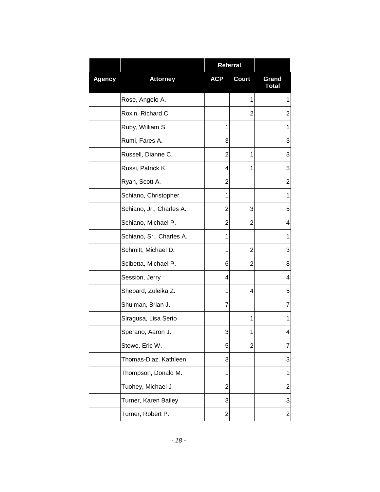|               |                          | Referral       |                |                       |
|---------------|--------------------------|----------------|----------------|-----------------------|
| <b>Agency</b> | <b>Attorney</b>          | <b>ACP</b>     | <b>Court</b>   | Grand<br><b>Total</b> |
|               | Rose, Angelo A.          |                | 1              | 1                     |
|               | Roxin, Richard C.        |                | 2              | 2                     |
|               | Ruby, William S.         | 1              |                | 1                     |
|               | Rumi, Fares A.           | 3              |                | 3                     |
|               | Russell, Dianne C.       | 2              | 1              | 3                     |
|               | Russi, Patrick K.        | 4              | 1              | 5                     |
|               | Ryan, Scott A.           | 2              |                | $\overline{2}$        |
|               | Schiano, Christopher     | 1              |                | 1                     |
|               | Schiano, Jr., Charles A. | 2              | 3              | 5                     |
|               | Schiano, Michael P.      | 2              | 2              | 4                     |
|               | Schiano, Sr., Charles A. | 1              |                | 1                     |
|               | Schmitt, Michael D.      | 1              | $\overline{2}$ | 3                     |
|               | Scibetta, Michael P.     | 6              | 2              | 8                     |
|               | Session, Jerry           | 4              |                | 4                     |
|               | Shepard, Zuleika Z.      | 1              | 4              | 5                     |
|               | Shulman, Brian J.        | 7              |                | 7                     |
|               | Siragusa, Lisa Serio     |                | 1              | 1                     |
|               | Sperano, Aaron J.        | 3              | 1              | 4                     |
|               | Stowe, Eric W.           | 5              | 2              | 7                     |
|               | Thomas-Diaz, Kathleen    | 3              |                | 3                     |
|               | Thompson, Donald M.      | 1              |                | 1                     |
|               | Tuohey, Michael J        | 2              |                | $\overline{2}$        |
|               | Turner, Karen Bailey     | 3              |                | 3                     |
|               | Turner, Robert P.        | $\overline{2}$ |                | $\overline{c}$        |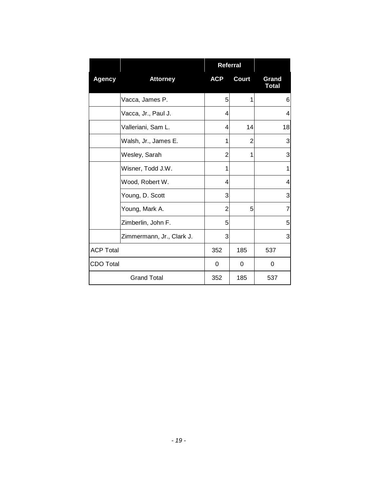|                  |                           | Referral   |              |                       |
|------------------|---------------------------|------------|--------------|-----------------------|
| <b>Agency</b>    | <b>Attorney</b>           | <b>ACP</b> | <b>Court</b> | Grand<br><b>Total</b> |
|                  | Vacca, James P.           | 5          | 1            | 6                     |
|                  | Vacca, Jr., Paul J.       | 4          |              | 4                     |
|                  | Valleriani, Sam L.        | 4          | 14           | 18                    |
|                  | Walsh, Jr., James E.      | 1          | 2            | 3                     |
|                  | Wesley, Sarah             | 2          | 1            | 3                     |
|                  | Wisner, Todd J.W.         | 1          |              | 1                     |
|                  | Wood, Robert W.           | 4          |              | 4                     |
|                  | Young, D. Scott           | 3          |              | 3                     |
|                  | Young, Mark A.            | 2          | 5            | 7                     |
|                  | Zimberlin, John F.        | 5          |              | 5                     |
|                  | Zimmermann, Jr., Clark J. | 3          |              | 3                     |
| <b>ACP Total</b> |                           | 352        | 185          | 537                   |
| <b>CDO Total</b> |                           | 0          | 0            | 0                     |
|                  | <b>Grand Total</b>        | 352        | 185          | 537                   |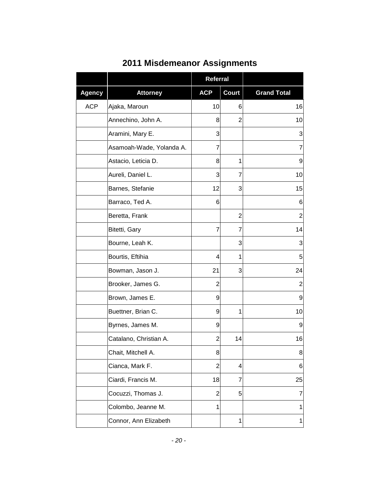|               |                          | <b>Referral</b> |              |                    |
|---------------|--------------------------|-----------------|--------------|--------------------|
| <b>Agency</b> | <b>Attorney</b>          | <b>ACP</b>      | <b>Court</b> | <b>Grand Total</b> |
| <b>ACP</b>    | Ajaka, Maroun            | 10              | 6            | 16                 |
|               | Annechino, John A.       | 8               | 2            | 10                 |
|               | Aramini, Mary E.         | 3               |              | 3                  |
|               | Asamoah-Wade, Yolanda A. | 7               |              | $\overline{7}$     |
|               | Astacio, Leticia D.      | 8               | 1            | 9                  |
|               | Aureli, Daniel L.        | 3               | 7            | 10                 |
|               | Barnes, Stefanie         | 12              | 3            | 15                 |
|               | Barraco, Ted A.          | 6               |              | 6                  |
|               | Beretta, Frank           |                 | 2            | $\overline{2}$     |
|               | Bitetti, Gary            | 7               | 7            | 14                 |
|               | Bourne, Leah K.          |                 | 3            | 3                  |
|               | Bourtis, Eftihia         | 4               | 1            | 5                  |
|               | Bowman, Jason J.         | 21              | 3            | 24                 |
|               | Brooker, James G.        | $\overline{c}$  |              | $\overline{2}$     |
|               | Brown, James E.          | 9               |              | 9                  |
|               | Buettner, Brian C.       | 9               | 1            | 10                 |
|               | Byrnes, James M.         | 9               |              | 9                  |
|               | Catalano, Christian A.   | 2               | 14           | 16                 |
|               | Chait, Mitchell A.       | 8               |              | 8 <sup>1</sup>     |
|               | Cianca, Mark F.          | 2               | 4            | 6                  |
|               | Ciardi, Francis M.       | 18              | 7            | 25                 |
|               | Cocuzzi, Thomas J.       | $\overline{c}$  | 5            | 7                  |
|               | Colombo, Jeanne M.       | 1               |              | 1                  |
|               | Connor, Ann Elizabeth    |                 | 1            | $\mathbf{1}$       |

## **2011 Misdemeanor Assignments**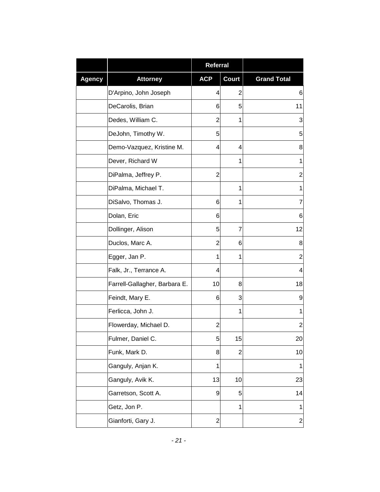|               |                               | <b>Referral</b>  |              |                         |
|---------------|-------------------------------|------------------|--------------|-------------------------|
| <b>Agency</b> | <b>Attorney</b>               | <b>ACP</b>       | <b>Court</b> | <b>Grand Total</b>      |
|               | D'Arpino, John Joseph         | 4                | 2            | 6                       |
|               | DeCarolis, Brian              | 6                | 5            | 11                      |
|               | Dedes, William C.             | $\overline{2}$   | 1            | 3                       |
|               | DeJohn, Timothy W.            | 5                |              | 5                       |
|               | Demo-Vazquez, Kristine M.     | 4                | 4            | 8                       |
|               | Dever, Richard W              |                  | 1            | 1                       |
|               | DiPalma, Jeffrey P.           | $\overline{2}$   |              | $\overline{\mathbf{c}}$ |
|               | DiPalma, Michael T.           |                  | 1            | 1                       |
|               | DiSalvo, Thomas J.            | 6                | 1            | 7                       |
|               | Dolan, Eric                   | 6                |              | 6                       |
|               | Dollinger, Alison             | 5                | 7            | 12                      |
|               | Duclos, Marc A.               | $\overline{2}$   | 6            | 8                       |
|               | Egger, Jan P.                 | 1                | 1            | $\overline{c}$          |
|               | Falk, Jr., Terrance A.        | 4                |              | 4                       |
|               | Farrell-Gallagher, Barbara E. | 10               | 8            | 18                      |
|               | Feindt, Mary E.               | 6                | 3            | 9                       |
|               | Ferlicca, John J.             |                  | 1            | 1                       |
|               | Flowerday, Michael D.         | 2                |              | $\overline{c}$          |
|               | Fulmer, Daniel C.             | 5                | 15           | 20                      |
|               | Funk, Mark D.                 | 8                | $\mathbf{2}$ | 10                      |
|               | Ganguly, Anjan K.             | 1                |              | 1                       |
|               | Ganguly, Avik K.              | 13               | 10           | 23                      |
|               | Garretson, Scott A.           | 9                | 5            | 14                      |
|               | Getz, Jon P.                  |                  | 1            | 1                       |
|               | Gianforti, Gary J.            | $\boldsymbol{2}$ |              | $\overline{c}$          |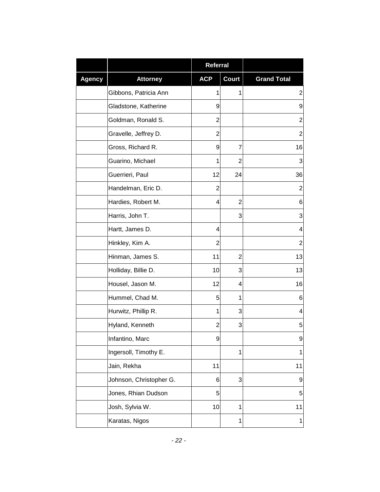|               |                         | Referral       |                |                    |
|---------------|-------------------------|----------------|----------------|--------------------|
| <b>Agency</b> | <b>Attorney</b>         | <b>ACP</b>     | <b>Court</b>   | <b>Grand Total</b> |
|               | Gibbons, Patricia Ann   | 1              | 1              | $\overline{2}$     |
|               | Gladstone, Katherine    | 9              |                | 9                  |
|               | Goldman, Ronald S.      | 2              |                | $\overline{2}$     |
|               | Gravelle, Jeffrey D.    | $\overline{2}$ |                | $\overline{2}$     |
|               | Gross, Richard R.       | 9              | 7              | 16                 |
|               | Guarino, Michael        | 1              | $\overline{2}$ | 3                  |
|               | Guerrieri, Paul         | 12             | 24             | 36                 |
|               | Handelman, Eric D.      | $\overline{2}$ |                | $\overline{2}$     |
|               | Hardies, Robert M.      | 4              | $\overline{2}$ | 6                  |
|               | Harris, John T.         |                | 3              | 3                  |
|               | Hartt, James D.         | 4              |                | $\overline{4}$     |
|               | Hinkley, Kim A.         | $\overline{2}$ |                | $\boldsymbol{2}$   |
|               | Hinman, James S.        | 11             | 2              | 13                 |
|               | Holliday, Billie D.     | 10             | 3              | 13                 |
|               | Housel, Jason M.        | 12             | 4              | 16                 |
|               | Hummel, Chad M.         | 5              | 1              | 6                  |
|               | Hurwitz, Phillip R.     | 1              | 3              | 4                  |
|               | Hyland, Kenneth         | $\overline{2}$ | 3              | 5                  |
|               | Infantino, Marc         | 9              |                | 9                  |
|               | Ingersoll, Timothy E.   |                | 1              | $\mathbf 1$        |
|               | Jain, Rekha             | 11             |                | 11                 |
|               | Johnson, Christopher G. | 6              | 3              | 9                  |
|               | Jones, Rhian Dudson     | 5              |                | 5                  |
|               | Josh, Sylvia W.         | 10             | 1              | 11                 |
|               | Karatas, Nigos          |                | 1              | 1                  |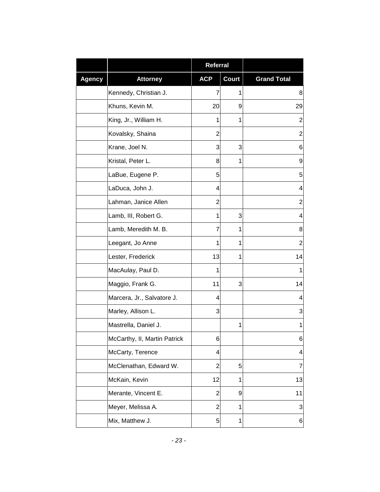|               |                              | <b>Referral</b> |       |                    |
|---------------|------------------------------|-----------------|-------|--------------------|
| <b>Agency</b> | <b>Attorney</b>              | <b>ACP</b>      | Court | <b>Grand Total</b> |
|               | Kennedy, Christian J.        | 7               | 1     | 8                  |
|               | Khuns, Kevin M.              | 20              | 9     | 29                 |
|               | King, Jr., William H.        | 1               | 1     | $\overline{c}$     |
|               | Kovalsky, Shaina             | $\overline{2}$  |       | $\overline{2}$     |
|               | Krane, Joel N.               | 3               | 3     | 6                  |
|               | Kristal, Peter L.            | 8               | 1     | 9                  |
|               | LaBue, Eugene P.             | 5               |       | 5                  |
|               | LaDuca, John J.              | 4               |       | 4                  |
|               | Lahman, Janice Allen         | $\overline{2}$  |       | $\overline{2}$     |
|               | Lamb, III, Robert G.         | 1               | 3     | 4                  |
|               | Lamb, Meredith M. B.         | $\overline{7}$  | 1     | 8                  |
|               | Leegant, Jo Anne             | 1               | 1     | $\overline{c}$     |
|               | Lester, Frederick            | 13              | 1     | 14                 |
|               | MacAulay, Paul D.            | 1               |       | 1                  |
|               | Maggio, Frank G.             | 11              | 3     | 14                 |
|               | Marcera, Jr., Salvatore J.   | 4               |       | 4                  |
|               | Marley, Allison L.           | 3               |       | 3                  |
|               | Mastrella, Daniel J.         |                 | 1     | 1                  |
|               | McCarthy, II, Martin Patrick | 6               |       | 6                  |
|               | McCarty, Terence             | 4               |       | 4                  |
|               | McClenathan, Edward W.       | $\overline{c}$  | 5     | $\overline{7}$     |
|               | McKain, Kevin                | 12              | 1     | 13                 |
|               | Merante, Vincent E.          | $\overline{c}$  | 9     | 11                 |
|               | Meyer, Melissa A.            | $\overline{c}$  | 1     | 3                  |
|               | Mix, Matthew J.              | 5               | 1     | $\,$ 6 $\,$        |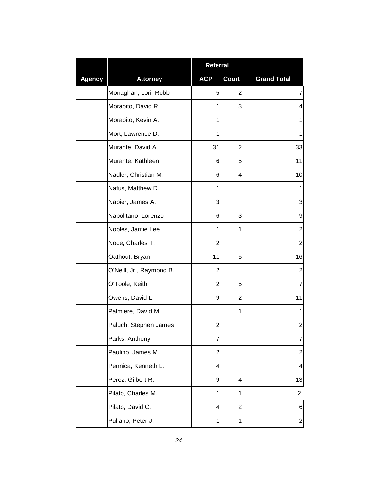|               |                          | Referral       |                |                    |
|---------------|--------------------------|----------------|----------------|--------------------|
| <b>Agency</b> | <b>Attorney</b>          | <b>ACP</b>     | <b>Court</b>   | <b>Grand Total</b> |
|               | Monaghan, Lori Robb      | 5              | 2              | 7                  |
|               | Morabito, David R.       | 1              | 3              | 4                  |
|               | Morabito, Kevin A.       | 1              |                | 1                  |
|               | Mort, Lawrence D.        | 1              |                | 1                  |
|               | Murante, David A.        | 31             | $\overline{2}$ | 33                 |
|               | Murante, Kathleen        | 6              | 5              | 11                 |
|               | Nadler, Christian M.     | 6              | 4              | 10                 |
|               | Nafus, Matthew D.        | 1              |                | 1                  |
|               | Napier, James A.         | 3              |                | 3                  |
|               | Napolitano, Lorenzo      | 6              | 3              | 9                  |
|               | Nobles, Jamie Lee        | 1              | 1              | $\overline{2}$     |
|               | Noce, Charles T.         | 2              |                | $\mathbf{2}$       |
|               | Oathout, Bryan           | 11             | 5              | 16                 |
|               | O'Neill, Jr., Raymond B. | $\overline{2}$ |                | $\overline{2}$     |
|               | O'Toole, Keith           | 2              | 5              | 7                  |
|               | Owens, David L.          | 9              | 2              | 11                 |
|               | Palmiere, David M.       |                | 1              | 1                  |
|               | Paluch, Stephen James    | 2              |                | $\mathbf{2}$       |
|               | Parks, Anthony           | 7              |                | 7                  |
|               | Paulino, James M.        | $\overline{c}$ |                | $\boldsymbol{2}$   |
|               | Pennica, Kenneth L.      | 4              |                | 4                  |
|               | Perez, Gilbert R.        | 9              | 4              | 13                 |
|               | Pilato, Charles M.       | 1              | 1              | $\overline{c}$     |
|               | Pilato, David C.         | 4              | $\overline{2}$ | 6                  |
|               | Pullano, Peter J.        | 1              | 1              | $\overline{c}$     |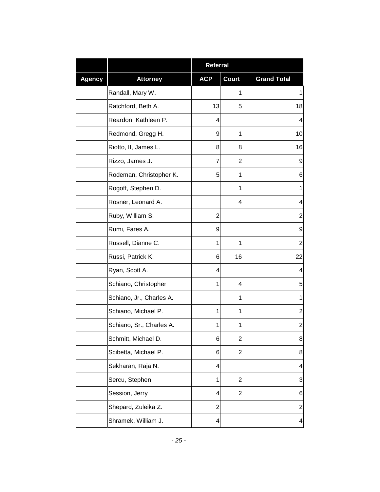|               |                          | <b>Referral</b>         |                         |                    |
|---------------|--------------------------|-------------------------|-------------------------|--------------------|
| <b>Agency</b> | <b>Attorney</b>          | <b>ACP</b>              | Court                   | <b>Grand Total</b> |
|               | Randall, Mary W.         |                         | 1                       | 1                  |
|               | Ratchford, Beth A.       | 13                      | 5                       | 18                 |
|               | Reardon, Kathleen P.     | 4                       |                         | 4                  |
|               | Redmond, Gregg H.        | 9                       | 1                       | 10                 |
|               | Riotto, II, James L.     | 8                       | 8                       | 16                 |
|               | Rizzo, James J.          | 7                       | 2                       | 9                  |
|               | Rodeman, Christopher K.  | 5                       | 1                       | 6                  |
|               | Rogoff, Stephen D.       |                         | 1                       | 1                  |
|               | Rosner, Leonard A.       |                         | 4                       | 4                  |
|               | Ruby, William S.         | $\overline{2}$          |                         | 2                  |
|               | Rumi, Fares A.           | 9                       |                         | 9                  |
|               | Russell, Dianne C.       | 1                       | 1                       | $\overline{2}$     |
|               | Russi, Patrick K.        | 6                       | 16                      | 22                 |
|               | Ryan, Scott A.           | 4                       |                         | 4                  |
|               | Schiano, Christopher     | 1                       | 4                       | 5                  |
|               | Schiano, Jr., Charles A. |                         | 1                       | 1                  |
|               | Schiano, Michael P.      | 1                       | 1                       | $\overline{2}$     |
|               | Schiano, Sr., Charles A. | 1                       | 1                       | $\overline{2}$     |
|               | Schmitt, Michael D.      | $\,6$                   | $\overline{\mathbf{c}}$ | 8                  |
|               | Scibetta, Michael P.     | 6                       | $\overline{2}$          | 8                  |
|               | Sekharan, Raja N.        | $\overline{\mathbf{4}}$ |                         | 4                  |
|               | Sercu, Stephen           | 1                       | $\overline{2}$          | 3                  |
|               | Session, Jerry           | $\overline{\mathbf{4}}$ | $\overline{2}$          | 6                  |
|               | Shepard, Zuleika Z.      | $\overline{2}$          |                         | $\overline{2}$     |
|               | Shramek, William J.      | $\overline{\mathbf{4}}$ |                         | 4                  |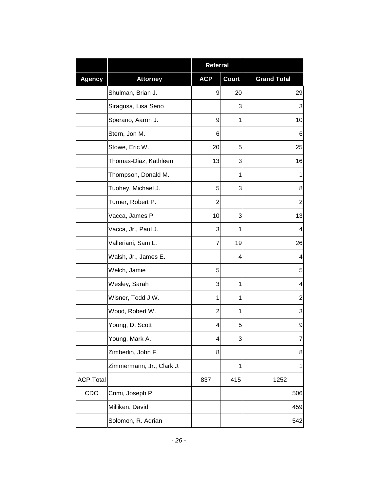|                  |                           | <b>Referral</b> |              |                    |
|------------------|---------------------------|-----------------|--------------|--------------------|
| <b>Agency</b>    | <b>Attorney</b>           | <b>ACP</b>      | <b>Court</b> | <b>Grand Total</b> |
|                  | Shulman, Brian J.         | 9               | 20           | 29                 |
|                  | Siragusa, Lisa Serio      |                 | 3            | 3                  |
|                  | Sperano, Aaron J.         | 9               | 1            | 10                 |
|                  | Stern, Jon M.             | 6               |              | 6                  |
|                  | Stowe, Eric W.            | 20              | 5            | 25                 |
|                  | Thomas-Diaz, Kathleen     | 13              | 3            | 16                 |
|                  | Thompson, Donald M.       |                 | 1            | 1                  |
|                  | Tuohey, Michael J.        | 5               | 3            | 8                  |
|                  | Turner, Robert P.         | $\overline{2}$  |              | $\overline{2}$     |
|                  | Vacca, James P.           | 10              | 3            | 13                 |
|                  | Vacca, Jr., Paul J.       | 3               | 1            | 4                  |
|                  | Valleriani, Sam L.        | 7               | 19           | 26                 |
|                  | Walsh, Jr., James E.      |                 | 4            | 4                  |
|                  | Welch, Jamie              | 5               |              | 5                  |
|                  | Wesley, Sarah             | 3               | 1            | 4                  |
|                  | Wisner, Todd J.W.         | 1               | 1            | $\overline{c}$     |
|                  | Wood, Robert W.           | 2               | 1            | 3                  |
|                  | Young, D. Scott           | 4               | 5            | 9                  |
|                  | Young, Mark A.            | 4               | 3            | 7                  |
|                  | Zimberlin, John F.        | 8               |              | 8                  |
|                  | Zimmermann, Jr., Clark J. |                 | 1            | $\mathbf{1}$       |
| <b>ACP Total</b> |                           | 837             | 415          | 1252               |
| CDO              | Crimi, Joseph P.          |                 |              | 506                |
|                  | Milliken, David           |                 |              | 459                |
|                  | Solomon, R. Adrian        |                 |              | 542                |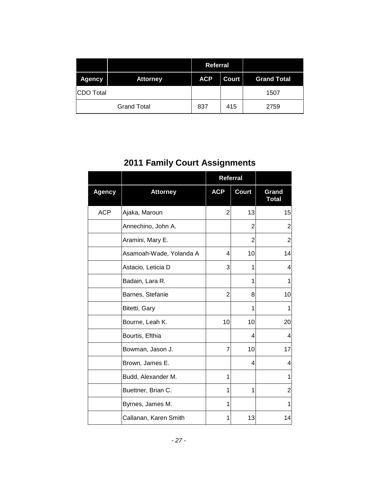|               |                    | <b>Referral</b> |       |                    |
|---------------|--------------------|-----------------|-------|--------------------|
| <b>Agency</b> | <b>Attorney</b>    | <b>ACP</b>      | Court | <b>Grand Total</b> |
| CDO Total     |                    |                 |       | 1507               |
|               | <b>Grand Total</b> | 837             | 415   | 2759               |

# **2011 Family Court Assignments**

|               |                         | <b>Referral</b> |                |                       |
|---------------|-------------------------|-----------------|----------------|-----------------------|
| <b>Agency</b> | <b>Attorney</b>         | <b>ACP</b>      | <b>Court</b>   | Grand<br><b>Total</b> |
| <b>ACP</b>    | Ajaka, Maroun           | $\overline{2}$  | 13             | 15                    |
|               | Annechino, John A.      |                 | $\overline{2}$ | 2                     |
|               | Aramini, Mary E.        |                 | 2              | 2                     |
|               | Asamoah-Wade, Yolanda A | 4               | 10             | 14                    |
|               | Astacio, Leticia D      | 3               | 1              | 4                     |
|               | Badain, Lara R.         |                 | 1              | 1                     |
|               | Barnes, Stefanie        | $\overline{2}$  | 8              | 10                    |
|               | Bitetti, Gary           |                 | 1              | 1                     |
|               | Bourne, Leah K.         | 10              | 10             | 20                    |
|               | Bourtis, Efthia         |                 | 4              | 4                     |
|               | Bowman, Jason J.        | 7               | 10             | 17                    |
|               | Brown, James E.         |                 | 4              | 4                     |
|               | Budd, Alexander M.      | 1               |                | 1                     |
|               | Buettner, Brian C.      | 1               | 1              | 2                     |
|               | Byrnes, James M.        | 1               |                | 1                     |
|               | Callanan, Karen Smith   | 1               | 13             | 14                    |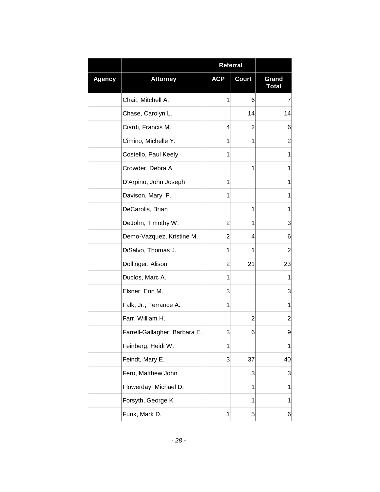|               |                               | <b>Referral</b> |                |                       |
|---------------|-------------------------------|-----------------|----------------|-----------------------|
| <b>Agency</b> | <b>Attorney</b>               | <b>ACP</b>      | Court          | Grand<br><b>Total</b> |
|               | Chait, Mitchell A.            | 1               | 6              | $\overline{7}$        |
|               | Chase, Carolyn L.             |                 | 14             | 14                    |
|               | Ciardi, Francis M.            | 4               | 2              | 6                     |
|               | Cimino, Michelle Y.           | 1               | 1              | 2                     |
|               | Costello, Paul Keely          | 1               |                | 1                     |
|               | Crowder, Debra A.             |                 | 1              | 1                     |
|               | D'Arpino, John Joseph         | 1               |                | 1                     |
|               | Davison, Mary P.              | 1               |                | 1                     |
|               | DeCarolis, Brian              |                 | 1              | 1                     |
|               | DeJohn, Timothy W.            | 2               | 1              | 3                     |
|               | Demo-Vazquez, Kristine M.     | 2               | 4              | 6                     |
|               | DiSalvo, Thomas J.            | 1               | 1              | $\overline{c}$        |
|               | Dollinger, Alison             | 2               | 21             | 23                    |
|               | Duclos, Marc A.               | 1               |                | 1                     |
|               | Elsner, Erin M.               | 3               |                | 3                     |
|               | Falk, Jr., Terrance A.        | 1               |                | 1                     |
|               | Farr, William H.              |                 | $\overline{2}$ | $\overline{2}$        |
|               | Farrell-Gallagher, Barbara E. | 3               | 6              | 9                     |
|               | Feinberg, Heidi W.            | 1               |                | 1                     |
|               | Feindt, Mary E.               | 3               | 37             | 40                    |
|               | Fero, Matthew John            |                 | 3              | 3                     |
|               | Flowerday, Michael D.         |                 | 1              | 1                     |
|               | Forsyth, George K.            |                 | 1              | 1                     |
|               | Funk, Mark D.                 | 1               | 5              | 6                     |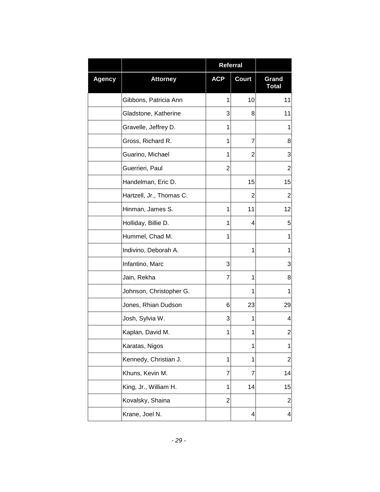|               |                          | Referral       |              |                       |
|---------------|--------------------------|----------------|--------------|-----------------------|
| <b>Agency</b> | <b>Attorney</b>          | <b>ACP</b>     | <b>Court</b> | Grand<br><b>Total</b> |
|               | Gibbons, Patricia Ann    | 1              | 10           | 11                    |
|               | Gladstone, Katherine     | 3              | 8            | 11                    |
|               | Gravelle, Jeffrey D.     | 1              |              | 1                     |
|               | Gross, Richard R.        | 1              | 7            | 8                     |
|               | Guarino, Michael         | 1              | 2            | 3                     |
|               | Guerrieri, Paul          | $\overline{c}$ |              | $\overline{c}$        |
|               | Handelman, Eric D.       |                | 15           | 15                    |
|               | Hartzell, Jr., Thomas C. |                | 2            | 2                     |
|               | Hinman, James S.         | 1              | 11           | 12                    |
|               | Holliday, Billie D.      | 1              | 4            | 5                     |
|               | Hummel, Chad M.          | 1              |              | 1                     |
|               | Indivino, Deborah A.     |                | 1            | 1                     |
|               | Infantino, Marc          | 3              |              | 3                     |
|               | Jain, Rekha              | 7              | 1            | 8                     |
|               | Johnson, Christopher G.  |                | 1            | 1                     |
|               | Jones, Rhian Dudson      | 6              | 23           | 29                    |
|               | Josh, Sylvia W.          | 3              | 1            | 4                     |
|               | Kaplan, David M.         | 1              | 1            | 2                     |
|               | Karatas, Nigos           |                | 1            | 1                     |
|               | Kennedy, Christian J.    | 1              | 1            | $\overline{2}$        |
|               | Khuns, Kevin M.          | 7              | 7            | 14                    |
|               | King, Jr., William H.    | 1              | 14           | 15                    |
|               | Kovalsky, Shaina         | $\mathbf{2}$   |              | $\overline{c}$        |
|               | Krane, Joel N.           |                | 4            | 4                     |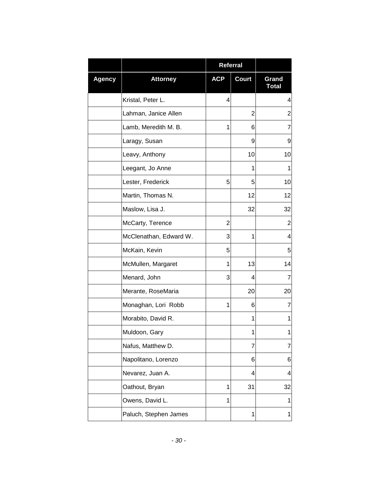|               |                        | Referral   |                |                       |
|---------------|------------------------|------------|----------------|-----------------------|
| <b>Agency</b> | <b>Attorney</b>        | <b>ACP</b> | Court          | Grand<br><b>Total</b> |
|               | Kristal, Peter L.      | 4          |                | 4                     |
|               | Lahman, Janice Allen   |            | $\overline{2}$ | $\overline{2}$        |
|               | Lamb, Meredith M. B.   | 1          | 6              | 7                     |
|               | Laragy, Susan          |            | 9              | 9                     |
|               | Leavy, Anthony         |            | 10             | 10                    |
|               | Leegant, Jo Anne       |            | 1              | 1                     |
|               | Lester, Frederick      | 5          | 5              | 10                    |
|               | Martin, Thomas N.      |            | 12             | 12                    |
|               | Maslow, Lisa J.        |            | 32             | 32                    |
|               | McCarty, Terence       | 2          |                | 2                     |
|               | McClenathan, Edward W. | 3          | 1              | 4                     |
|               | McKain, Kevin          | 5          |                | 5                     |
|               | McMullen, Margaret     | 1          | 13             | 14                    |
|               | Menard, John           | 3          | 4              | 7                     |
|               | Merante, RoseMaria     |            | 20             | 20                    |
|               | Monaghan, Lori Robb    | 1          | 6              | 7                     |
|               | Morabito, David R.     |            | 1              | 1                     |
|               | Muldoon, Gary          |            | 1              | 1                     |
|               | Nafus, Matthew D.      |            | 7              | 7                     |
|               | Napolitano, Lorenzo    |            | 6              | 6                     |
|               | Nevarez, Juan A.       |            | 4              | 4                     |
|               | Oathout, Bryan         | 1          | 31             | 32                    |
|               | Owens, David L.        | 1          |                | 1                     |
|               | Paluch, Stephen James  |            | 1              | 1                     |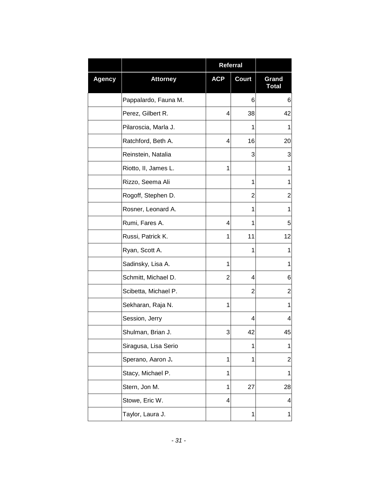|               |                      | Referral   |              |                       |
|---------------|----------------------|------------|--------------|-----------------------|
| <b>Agency</b> | <b>Attorney</b>      | <b>ACP</b> | <b>Court</b> | Grand<br><b>Total</b> |
|               | Pappalardo, Fauna M. |            | 6            | 6                     |
|               | Perez, Gilbert R.    | 4          | 38           | 42                    |
|               | Pilaroscia, Marla J. |            | 1            | 1                     |
|               | Ratchford, Beth A.   | 4          | 16           | 20                    |
|               | Reinstein, Natalia   |            | 3            | 3                     |
|               | Riotto, II, James L. | 1          |              | 1                     |
|               | Rizzo, Seema Ali     |            | 1            | 1                     |
|               | Rogoff, Stephen D.   |            | 2            | 2                     |
|               | Rosner, Leonard A.   |            | 1            | 1                     |
|               | Rumi, Fares A.       | 4          | 1            | 5                     |
|               | Russi, Patrick K.    | 1          | 11           | 12                    |
|               | Ryan, Scott A.       |            | 1            | 1                     |
|               | Sadinsky, Lisa A.    | 1          |              | 1                     |
|               | Schmitt, Michael D.  | 2          | 4            | 6                     |
|               | Scibetta, Michael P. |            | 2            | 2                     |
|               | Sekharan, Raja N.    | 1          |              | 1                     |
|               | Session, Jerry       |            | 4            | 4                     |
|               | Shulman, Brian J.    | 3          | 42           | 45                    |
|               | Siragusa, Lisa Serio |            | 1            | 1                     |
|               | Sperano, Aaron J.    | 1          | 1            | $\overline{2}$        |
|               | Stacy, Michael P.    | 1          |              | 1                     |
|               | Stern, Jon M.        | 1          | 27           | 28                    |
|               | Stowe, Eric W.       | 4          |              | 4                     |
|               | Taylor, Laura J.     |            | 1            | 1                     |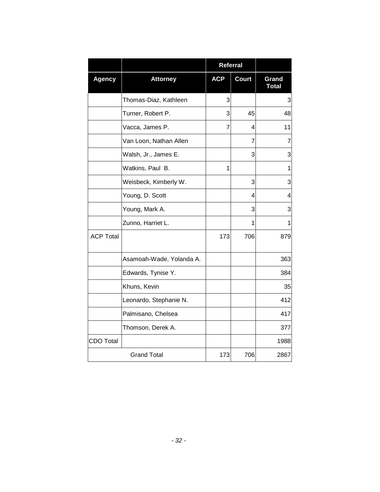|                    |                          | <b>Referral</b> |              |                       |
|--------------------|--------------------------|-----------------|--------------|-----------------------|
| <b>Agency</b>      | <b>Attorney</b>          | <b>ACP</b>      | <b>Court</b> | Grand<br><b>Total</b> |
|                    | Thomas-Diaz, Kathleen    | 3               |              | 3                     |
|                    | Turner, Robert P.        | 3               | 45           | 48                    |
|                    | Vacca, James P.          | 7               | 4            | 11                    |
|                    | Van Loon, Nathan Allen   |                 | 7            | 7                     |
|                    | Walsh, Jr., James E.     |                 | 3            | 3                     |
|                    | Watkins, Paul B.         | 1               |              | 1                     |
|                    | Weisbeck, Kimberly W.    |                 | 3            | 3                     |
|                    | Young, D. Scott          |                 | 4            | 4                     |
|                    | Young, Mark A.           |                 | 3            | 3                     |
|                    | Zunno, Harriet L.        |                 | 1            | 1                     |
| <b>ACP Total</b>   |                          | 173             | 706          | 879                   |
|                    | Asamoah-Wade, Yolanda A. |                 |              | 363                   |
|                    | Edwards, Tynise Y.       |                 |              | 384                   |
|                    | Khuns, Kevin             |                 |              | 35                    |
|                    | Leonardo, Stephanie N.   |                 |              | 412                   |
|                    | Palmisano, Chelsea       |                 |              | 417                   |
|                    | Thomson, Derek A.        |                 |              | 377                   |
| <b>CDO Total</b>   |                          |                 |              | 1988                  |
| <b>Grand Total</b> |                          | 173             | 706          | 2867                  |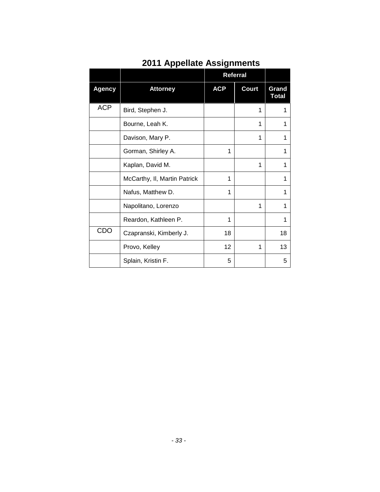|               |                              |            | Referral     |                       |
|---------------|------------------------------|------------|--------------|-----------------------|
| <b>Agency</b> | <b>Attorney</b>              | <b>ACP</b> | <b>Court</b> | Grand<br><b>Total</b> |
| <b>ACP</b>    | Bird, Stephen J.             |            | 1            |                       |
|               | Bourne, Leah K.              |            | 1            |                       |
|               | Davison, Mary P.             |            | 1            |                       |
|               | Gorman, Shirley A.           | 1          |              |                       |
|               | Kaplan, David M.             |            | 1            |                       |
|               | McCarthy, II, Martin Patrick | 1          |              |                       |
|               | Nafus, Matthew D.            | 1          |              |                       |
|               | Napolitano, Lorenzo          |            | 1            |                       |
|               | Reardon, Kathleen P.         | 1          |              | 1                     |
| CDO           | Czapranski, Kimberly J.      | 18         |              | 18                    |
|               | Provo, Kelley                | 12         | 1            | 13                    |
|               | Splain, Kristin F.           | 5          |              | 5                     |

### **2011 Appellate Assignments**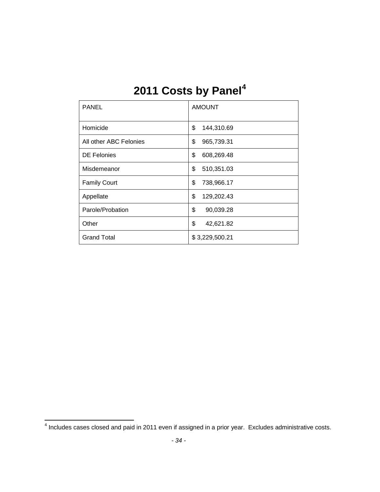# **2011 Costs by Panel[4](#page-35-0)**

| <b>PANEL</b>           | <b>AMOUNT</b>    |
|------------------------|------------------|
| Homicide               | \$<br>144,310.69 |
| All other ABC Felonies | \$<br>965,739.31 |
| <b>DE Felonies</b>     | \$<br>608,269.48 |
| Misdemeanor            | \$<br>510,351.03 |
| <b>Family Court</b>    | \$<br>738,966.17 |
| Appellate              | \$<br>129,202.43 |
| Parole/Probation       | \$<br>90,039.28  |
| Other                  | \$<br>42,621.82  |
| <b>Grand Total</b>     | \$3,229,500.21   |

<span id="page-35-0"></span><sup>4</sup> Includes cases closed and paid in 2011 even if assigned in a prior year. Excludes administrative costs.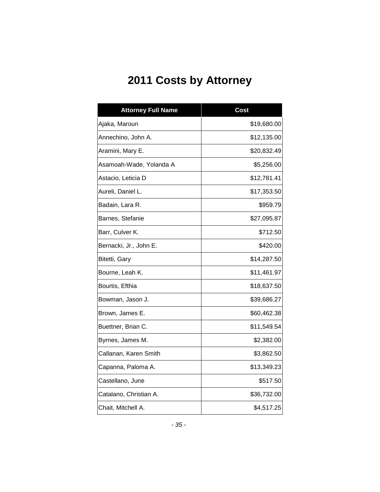## **2011 Costs by Attorney**

| <b>Attorney Full Name</b> | <b>Cost</b> |
|---------------------------|-------------|
| Ajaka, Maroun             | \$19,680.00 |
| Annechino, John A.        | \$12,135.00 |
| Aramini, Mary E.          | \$20,832.49 |
| Asamoah-Wade, Yolanda A   | \$5,256.00  |
| Astacio, Leticia D        | \$12,781.41 |
| Aureli, Daniel L.         | \$17,353.50 |
| Badain, Lara R.           | \$959.79    |
| Barnes, Stefanie          | \$27,095.87 |
| Barr, Culver K.           | \$712.50    |
| Bernacki, Jr., John E.    | \$420.00    |
| Bitetti, Gary             | \$14,287.50 |
| Bourne, Leah K.           | \$11,461.97 |
| Bourtis, Efthia           | \$18,637.50 |
| Bowman, Jason J.          | \$39,686.27 |
| Brown, James E.           | \$60,462.38 |
| Buettner, Brian C.        | \$11,549.54 |
| Byrnes, James M.          | \$2,382.00  |
| Callanan, Karen Smith     | \$3,862.50  |
| Capanna, Paloma A.        | \$13,349.23 |
| Castellano, June          | \$517.50    |
| Catalano, Christian A.    | \$36,732.00 |
| Chait, Mitchell A.        | \$4,517.25  |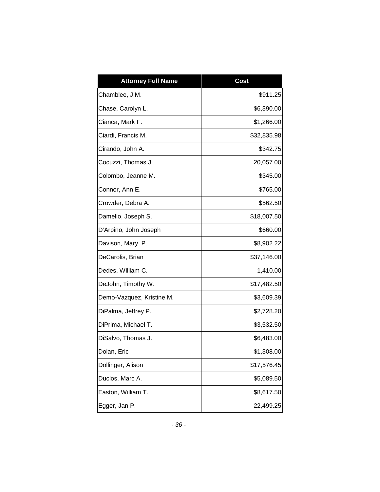| <b>Attorney Full Name</b> | <b>Cost</b> |
|---------------------------|-------------|
| Chamblee, J.M.            | \$911.25    |
| Chase, Carolyn L.         | \$6,390.00  |
| Cianca, Mark F.           | \$1,266.00  |
| Ciardi, Francis M.        | \$32,835.98 |
| Cirando, John A.          | \$342.75    |
| Cocuzzi, Thomas J.        | 20,057.00   |
| Colombo, Jeanne M.        | \$345.00    |
| Connor, Ann E.            | \$765.00    |
| Crowder, Debra A.         | \$562.50    |
| Damelio, Joseph S.        | \$18,007.50 |
| D'Arpino, John Joseph     | \$660.00    |
| Davison, Mary P.          | \$8,902.22  |
| DeCarolis, Brian          | \$37,146.00 |
| Dedes, William C.         | 1,410.00    |
| DeJohn, Timothy W.        | \$17,482.50 |
| Demo-Vazquez, Kristine M. | \$3,609.39  |
| DiPalma, Jeffrey P.       | \$2,728.20  |
| DiPrima, Michael T.       | \$3,532.50  |
| DiSalvo, Thomas J.        | \$6,483.00  |
| Dolan, Eric               | \$1,308.00  |
| Dollinger, Alison         | \$17,576.45 |
| Duclos, Marc A.           | \$5,089.50  |
| Easton, William T.        | \$8,617.50  |
| Egger, Jan P.             | 22,499.25   |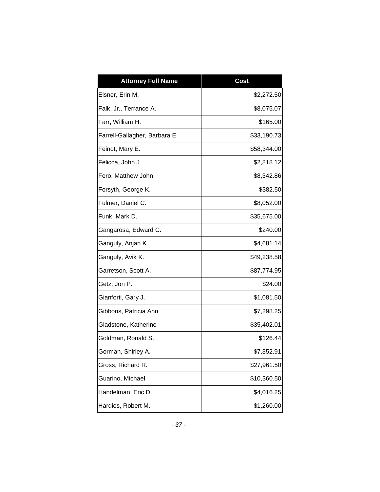| <b>Attorney Full Name</b>     | Cost        |
|-------------------------------|-------------|
| Elsner, Erin M.               | \$2,272.50  |
| Falk, Jr., Terrance A.        | \$8,075.07  |
| Farr, William H.              | \$165.00    |
| Farrell-Gallagher, Barbara E. | \$33,190.73 |
| Feindt, Mary E.               | \$58,344.00 |
| Felicca, John J.              | \$2,818.12  |
| Fero, Matthew John            | \$8,342.86  |
| Forsyth, George K.            | \$382.50    |
| Fulmer, Daniel C.             | \$8,052.00  |
| Funk, Mark D.                 | \$35,675.00 |
| Gangarosa, Edward C.          | \$240.00    |
| Ganguly, Anjan K.             | \$4,681.14  |
| Ganguly, Avik K.              | \$49,238.58 |
| Garretson, Scott A.           | \$87,774.95 |
| Getz, Jon P.                  | \$24.00     |
| Gianforti, Gary J.            | \$1,081.50  |
| Gibbons, Patricia Ann         | \$7,298.25  |
| Gladstone, Katherine          | \$35,402.01 |
| Goldman, Ronald S.            | \$126.44    |
| Gorman, Shirley A.            | \$7,352.91  |
| Gross, Richard R.             | \$27,961.50 |
| Guarino, Michael              | \$10,360.50 |
| Handelman, Eric D.            | \$4,016.25  |
| Hardies, Robert M.            | \$1,260.00  |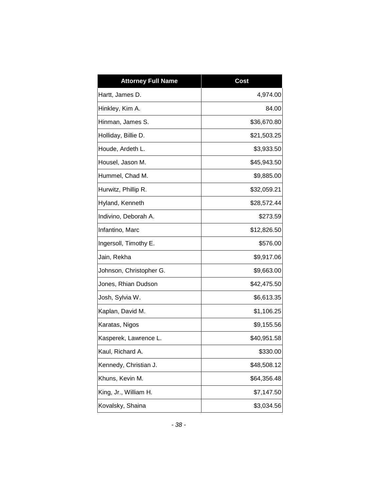| <b>Attorney Full Name</b> | <b>Cost</b> |
|---------------------------|-------------|
| Hartt, James D.           | 4,974.00    |
| Hinkley, Kim A.           | 84.00       |
| Hinman, James S.          | \$36,670.80 |
| Holliday, Billie D.       | \$21,503.25 |
| Houde, Ardeth L.          | \$3,933.50  |
| Housel, Jason M.          | \$45,943.50 |
| Hummel, Chad M.           | \$9,885.00  |
| Hurwitz, Phillip R.       | \$32,059.21 |
| Hyland, Kenneth           | \$28,572.44 |
| Indivino, Deborah A.      | \$273.59    |
| Infantino, Marc           | \$12,826.50 |
| Ingersoll, Timothy E.     | \$576.00    |
| Jain, Rekha               | \$9,917.06  |
| Johnson, Christopher G.   | \$9,663.00  |
| Jones, Rhian Dudson       | \$42,475.50 |
| Josh, Sylvia W.           | \$6,613.35  |
| Kaplan, David M.          | \$1,106.25  |
| Karatas, Nigos            | \$9,155.56  |
| Kasperek, Lawrence L.     | \$40,951.58 |
| Kaul, Richard A.          | \$330.00    |
| Kennedy, Christian J.     | \$48,508.12 |
| Khuns, Kevin M.           | \$64,356.48 |
| King, Jr., William H.     | \$7,147.50  |
| Kovalsky, Shaina          | \$3,034.56  |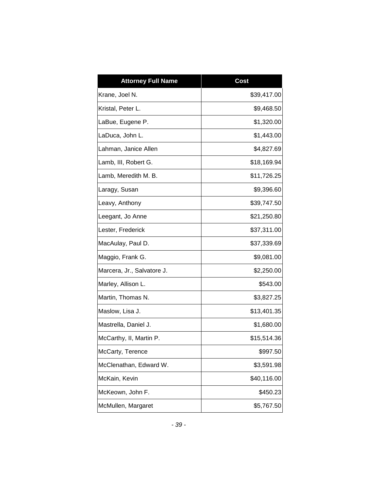| <b>Attorney Full Name</b>  | <b>Cost</b> |
|----------------------------|-------------|
| Krane, Joel N.             | \$39,417.00 |
| Kristal, Peter L.          | \$9,468.50  |
| LaBue, Eugene P.           | \$1,320.00  |
| LaDuca, John L.            | \$1,443.00  |
| Lahman, Janice Allen       | \$4,827.69  |
| Lamb, III, Robert G.       | \$18,169.94 |
| Lamb, Meredith M. B.       | \$11,726.25 |
| Laragy, Susan              | \$9,396.60  |
| Leavy, Anthony             | \$39,747.50 |
| Leegant, Jo Anne           | \$21,250.80 |
| Lester, Frederick          | \$37,311.00 |
| MacAulay, Paul D.          | \$37,339.69 |
| Maggio, Frank G.           | \$9,081.00  |
| Marcera, Jr., Salvatore J. | \$2,250.00  |
| Marley, Allison L.         | \$543.00    |
| Martin, Thomas N.          | \$3,827.25  |
| Maslow, Lisa J.            | \$13,401.35 |
| Mastrella, Daniel J.       | \$1,680.00  |
| McCarthy, II, Martin P.    | \$15,514.36 |
| McCarty, Terence           | \$997.50    |
| McClenathan, Edward W.     | \$3,591.98  |
| McKain, Kevin              | \$40,116.00 |
| McKeown, John F.           | \$450.23    |
| McMullen, Margaret         | \$5,767.50  |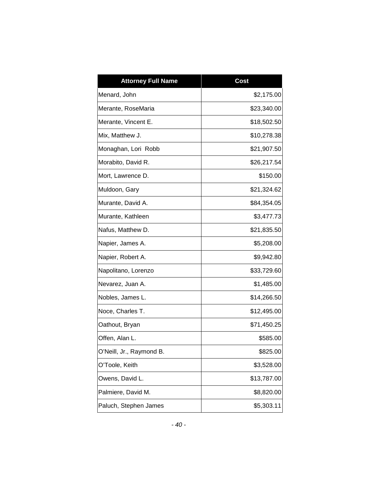| <b>Attorney Full Name</b> | Cost        |
|---------------------------|-------------|
| Menard, John              | \$2,175.00  |
| Merante, RoseMaria        | \$23,340.00 |
| Merante, Vincent E.       | \$18,502.50 |
| Mix, Matthew J.           | \$10,278.38 |
| Monaghan, Lori Robb       | \$21,907.50 |
| Morabito, David R.        | \$26,217.54 |
| Mort, Lawrence D.         | \$150.00    |
| Muldoon, Gary             | \$21,324.62 |
| Murante, David A.         | \$84,354.05 |
| Murante, Kathleen         | \$3,477.73  |
| Nafus, Matthew D.         | \$21,835.50 |
| Napier, James A.          | \$5,208.00  |
| Napier, Robert A.         | \$9,942.80  |
| Napolitano, Lorenzo       | \$33,729.60 |
| Nevarez, Juan A.          | \$1,485.00  |
| Nobles, James L.          | \$14,266.50 |
| Noce, Charles T.          | \$12,495.00 |
| Oathout, Bryan            | \$71,450.25 |
| Offen, Alan L.            | \$585.00    |
| O'Neill, Jr., Raymond B.  | \$825.00    |
| O'Toole, Keith            | \$3,528.00  |
| Owens, David L.           | \$13,787.00 |
| Palmiere, David M.        | \$8,820.00  |
| Paluch, Stephen James     | \$5,303.11  |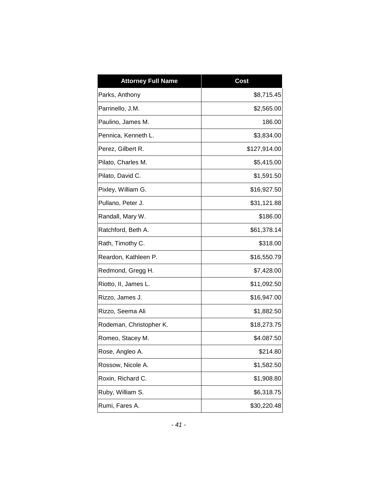| <b>Attorney Full Name</b> | <b>Cost</b>  |
|---------------------------|--------------|
| Parks, Anthony            | \$8,715.45   |
| Parrinello, J.M.          | \$2,565.00   |
| Paulino, James M.         | 186.00       |
| Pennica, Kenneth L.       | \$3,834.00   |
| Perez, Gilbert R.         | \$127,914.00 |
| Pilato, Charles M.        | \$5,415.00   |
| Pilato, David C.          | \$1,591.50   |
| Pixley, William G.        | \$16,927.50  |
| Pullano, Peter J.         | \$31,121.88  |
| Randall, Mary W.          | \$186.00     |
| Ratchford, Beth A.        | \$61,378.14  |
| Rath, Timothy C.          | \$318.00     |
| Reardon, Kathleen P.      | \$16,550.79  |
| Redmond, Gregg H.         | \$7,428.00   |
| Riotto, II, James L.      | \$11,092.50  |
| Rizzo, James J.           | \$16,947.00  |
| Rizzo, Seema Ali          | \$1,882.50   |
| Rodeman, Christopher K.   | \$18,273.75  |
| Romeo, Stacey M.          | \$4.087.50   |
| Rose, Angleo A.           | \$214.80     |
| Rossow, Nicole A.         | \$1,582.50   |
| Roxin, Richard C.         | \$1,908.80   |
| Ruby, William S.          | \$6,318.75   |
| Rumi, Fares A.            | \$30,220.48  |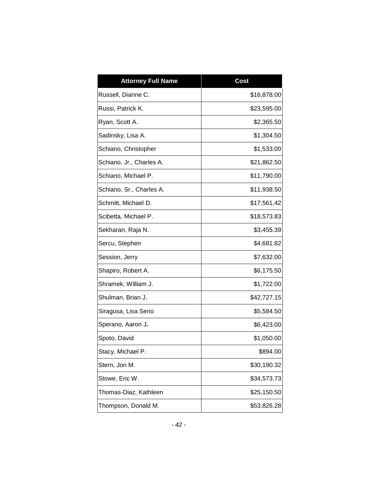| <b>Attorney Full Name</b> | <b>Cost</b> |
|---------------------------|-------------|
| Russell, Dianne C.        | \$16,878.00 |
| Russi, Patrick K.         | \$23,595.00 |
| Ryan, Scott A.            | \$2,365.50  |
| Sadinsky, Lisa A.         | \$1,304.50  |
| Schiano, Christopher      | \$1,533.00  |
| Schiano, Jr., Charles A.  | \$21,862.50 |
| Schiano, Michael P.       | \$11,790.00 |
| Schiano, Sr., Charles A.  | \$11,938.50 |
| Schmitt, Michael D.       | \$17,561.42 |
| Scibetta, Michael P.      | \$18,573.83 |
| Sekharan, Raja N.         | \$3,455.39  |
| Sercu, Stephen            | \$4,681.82  |
| Session, Jerry            | \$7,632.00  |
| Shapiro, Robert A.        | \$6,175.50  |
| Shramek, William J.       | \$1,722.00  |
| Shulman, Brian J.         | \$42,727.15 |
| Siragusa, Lisa Serio      | \$5,584.50  |
| Sperano, Aaron J.         | \$6,423.00  |
| Spoto, David              | \$1,050.00  |
| Stacy, Michael P          | \$894.00    |
| Stern, Jon M.             | \$30,190.32 |
| Stowe, Eric W.            | \$34,573.73 |
| Thomas-Diaz, Kathleen     | \$25,150.50 |
| Thompson, Donald M.       | \$53,826.28 |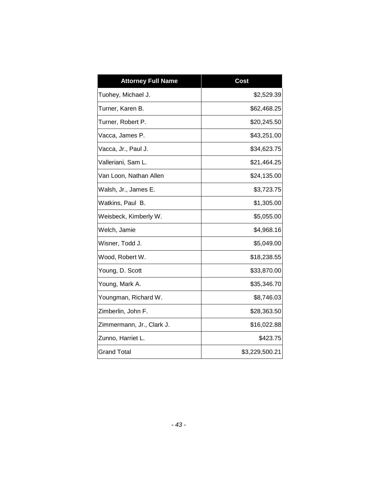| <b>Attorney Full Name</b> | <b>Cost</b>    |
|---------------------------|----------------|
| Tuohey, Michael J.        | \$2,529.39     |
| Turner, Karen B.          | \$62,468.25    |
| Turner, Robert P.         | \$20,245.50    |
| Vacca, James P.           | \$43,251.00    |
| Vacca, Jr., Paul J.       | \$34,623.75    |
| Valleriani, Sam L.        | \$21,464.25    |
| Van Loon, Nathan Allen    | \$24,135.00    |
| Walsh, Jr., James E.      | \$3,723.75     |
| Watkins, Paul B.          | \$1,305.00     |
| Weisbeck, Kimberly W.     | \$5,055.00     |
| Welch, Jamie              | \$4,968.16     |
| Wisner, Todd J.           | \$5,049.00     |
| Wood, Robert W.           | \$18,238.55    |
| Young, D. Scott           | \$33,870.00    |
| Young, Mark A.            | \$35,346.70    |
| Youngman, Richard W.      | \$8,746.03     |
| Zimberlin, John F.        | \$28,363.50    |
| Zimmermann, Jr., Clark J. | \$16,022.88    |
| Zunno, Harriet L.         | \$423.75       |
| <b>Grand Total</b>        | \$3,229,500.21 |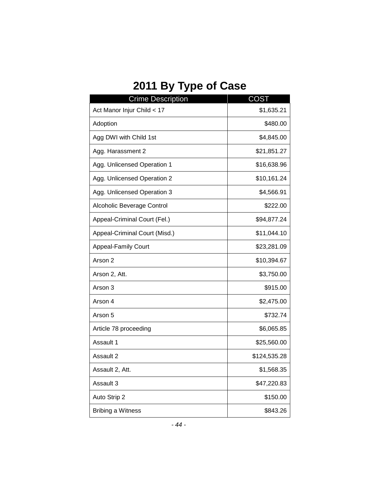## **2011 By Type of Case**

| <b>Crime Description</b>      | <b>COST</b>  |
|-------------------------------|--------------|
| Act Manor Injur Child < 17    | \$1,635.21   |
| Adoption                      | \$480.00     |
| Agg DWI with Child 1st        | \$4,845.00   |
| Agg. Harassment 2             | \$21,851.27  |
| Agg. Unlicensed Operation 1   | \$16,638.96  |
| Agg. Unlicensed Operation 2   | \$10,161.24  |
| Agg. Unlicensed Operation 3   | \$4,566.91   |
| Alcoholic Beverage Control    | \$222.00     |
| Appeal-Criminal Court (Fel.)  | \$94,877.24  |
| Appeal-Criminal Court (Misd.) | \$11,044.10  |
| <b>Appeal-Family Court</b>    | \$23,281.09  |
| Arson 2                       | \$10,394.67  |
| Arson 2, Att.                 | \$3,750.00   |
| Arson 3                       | \$915.00     |
| Arson 4                       | \$2,475.00   |
| Arson 5                       | \$732.74     |
| Article 78 proceeding         | \$6,065.85   |
| Assault 1                     | \$25,560.00  |
| Assault 2                     | \$124,535.28 |
| Assault 2, Att.               | \$1,568.35   |
| Assault 3                     | \$47,220.83  |
| Auto Strip 2                  | \$150.00     |
| <b>Bribing a Witness</b>      | \$843.26     |

*- 44 -*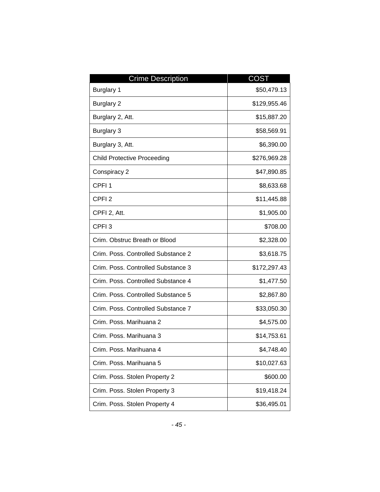| <b>Crime Description</b>           | <b>COST</b>  |
|------------------------------------|--------------|
| Burglary 1                         | \$50,479.13  |
| <b>Burglary 2</b>                  | \$129,955.46 |
| Burglary 2, Att.                   | \$15,887.20  |
| Burglary 3                         | \$58,569.91  |
| Burglary 3, Att.                   | \$6,390.00   |
| <b>Child Protective Proceeding</b> | \$276,969.28 |
| Conspiracy 2                       | \$47,890.85  |
| CPFI <sub>1</sub>                  | \$8,633.68   |
| CPFI <sub>2</sub>                  | \$11,445.88  |
| CPFI 2, Att.                       | \$1,905.00   |
| CPFI <sub>3</sub>                  | \$708.00     |
| Crim. Obstruc Breath or Blood      | \$2,328.00   |
| Crim. Poss. Controlled Substance 2 | \$3,618.75   |
| Crim. Poss. Controlled Substance 3 | \$172,297.43 |
| Crim. Poss. Controlled Substance 4 | \$1,477.50   |
| Crim. Poss. Controlled Substance 5 | \$2,867.80   |
| Crim. Poss. Controlled Substance 7 | \$33,050.30  |
| Crim. Poss. Marihuana 2            | \$4,575.00   |
| Crim. Poss. Marihuana 3            | \$14,753.61  |
| Crim, Poss, Marihuana 4            | \$4,748.40   |
| Crim. Poss. Marihuana 5            | \$10,027.63  |
| Crim. Poss. Stolen Property 2      | \$600.00     |
| Crim. Poss. Stolen Property 3      | \$19,418.24  |
| Crim. Poss. Stolen Property 4      | \$36,495.01  |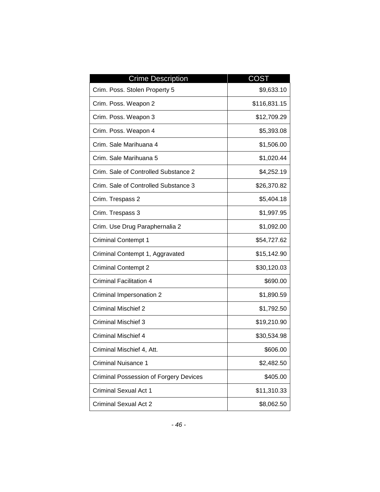| <b>Crime Description</b>                      | <b>COST</b>  |
|-----------------------------------------------|--------------|
| Crim. Poss. Stolen Property 5                 | \$9,633.10   |
| Crim. Poss. Weapon 2                          | \$116,831.15 |
| Crim. Poss. Weapon 3                          | \$12,709.29  |
| Crim. Poss. Weapon 4                          | \$5,393.08   |
| Crim. Sale Marihuana 4                        | \$1,506.00   |
| Crim. Sale Marihuana 5                        | \$1,020.44   |
| Crim. Sale of Controlled Substance 2          | \$4,252.19   |
| Crim. Sale of Controlled Substance 3          | \$26,370.82  |
| Crim. Trespass 2                              | \$5,404.18   |
| Crim. Trespass 3                              | \$1,997.95   |
| Crim. Use Drug Paraphernalia 2                | \$1,092.00   |
| <b>Criminal Contempt 1</b>                    | \$54,727.62  |
| Criminal Contempt 1, Aggravated               | \$15,142.90  |
| <b>Criminal Contempt 2</b>                    | \$30,120.03  |
| <b>Criminal Facilitation 4</b>                | \$690.00     |
| Criminal Impersonation 2                      | \$1,890.59   |
| <b>Criminal Mischief 2</b>                    | \$1,792.50   |
| <b>Criminal Mischief 3</b>                    | \$19,210.90  |
| <b>Criminal Mischief 4</b>                    | \$30,534.98  |
| Criminal Mischief 4, Att.                     | \$606.00     |
| <b>Criminal Nuisance 1</b>                    | \$2,482.50   |
| <b>Criminal Possession of Forgery Devices</b> | \$405.00     |
| <b>Criminal Sexual Act 1</b>                  | \$11,310.33  |
| <b>Criminal Sexual Act 2</b>                  | \$8,062.50   |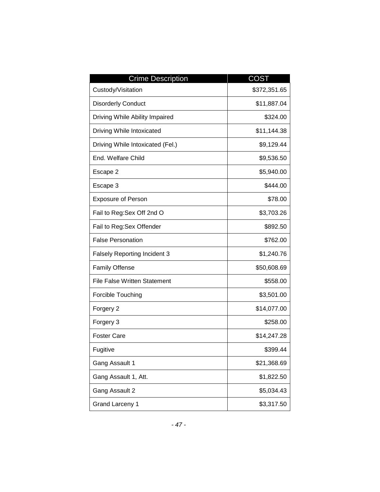| <b>Crime Description</b>            | <b>COST</b>  |
|-------------------------------------|--------------|
| Custody/Visitation                  | \$372,351.65 |
| <b>Disorderly Conduct</b>           | \$11,887.04  |
| Driving While Ability Impaired      | \$324.00     |
| Driving While Intoxicated           | \$11,144.38  |
| Driving While Intoxicated (Fel.)    | \$9,129.44   |
| End. Welfare Child                  | \$9,536.50   |
| Escape 2                            | \$5,940.00   |
| Escape 3                            | \$444.00     |
| <b>Exposure of Person</b>           | \$78.00      |
| Fail to Reg: Sex Off 2nd O          | \$3,703.26   |
| Fail to Reg:Sex Offender            | \$892.50     |
| <b>False Personation</b>            | \$762.00     |
| <b>Falsely Reporting Incident 3</b> | \$1,240.76   |
| <b>Family Offense</b>               | \$50,608.69  |
| <b>File False Written Statement</b> | \$558.00     |
| Forcible Touching                   | \$3,501.00   |
| Forgery 2                           | \$14,077.00  |
| Forgery 3                           | \$258.00     |
| <b>Foster Care</b>                  | \$14,247.28  |
| Fugitive                            | \$399.44     |
| Gang Assault 1                      | \$21,368.69  |
| Gang Assault 1, Att.                | \$1,822.50   |
| Gang Assault 2                      | \$5,034.43   |
| <b>Grand Larceny 1</b>              | \$3,317.50   |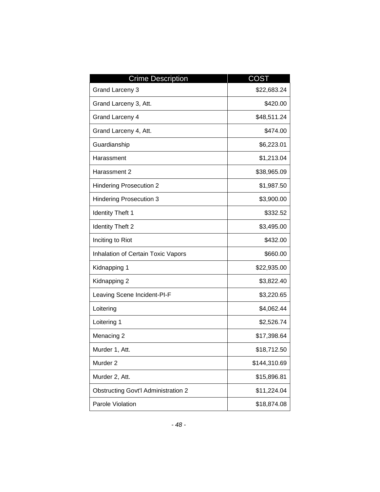| <b>Crime Description</b>                   | <b>COST</b>  |
|--------------------------------------------|--------------|
| Grand Larceny 3                            | \$22,683.24  |
| Grand Larceny 3, Att.                      | \$420.00     |
| Grand Larceny 4                            | \$48,511.24  |
| Grand Larceny 4, Att.                      | \$474.00     |
| Guardianship                               | \$6,223.01   |
| Harassment                                 | \$1,213.04   |
| Harassment 2                               | \$38,965.09  |
| <b>Hindering Prosecution 2</b>             | \$1,987.50   |
| <b>Hindering Prosecution 3</b>             | \$3,900.00   |
| <b>Identity Theft 1</b>                    | \$332.52     |
| <b>Identity Theft 2</b>                    | \$3,495.00   |
| Inciting to Riot                           | \$432.00     |
| Inhalation of Certain Toxic Vapors         | \$660.00     |
| Kidnapping 1                               | \$22,935.00  |
| Kidnapping 2                               | \$3,822.40   |
| Leaving Scene Incident-PI-F                | \$3,220.65   |
| Loitering                                  | \$4,062.44   |
| Loitering 1                                | \$2,526.74   |
| Menacing 2                                 | \$17,398.64  |
| Murder 1, Att.                             | \$18,712.50  |
| Murder <sub>2</sub>                        | \$144,310.69 |
| Murder 2, Att.                             | \$15,896.81  |
| <b>Obstructing Govt'l Administration 2</b> | \$11,224.04  |
| Parole Violation                           | \$18,874.08  |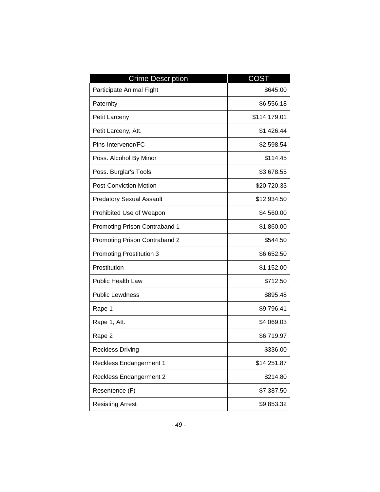| <b>Crime Description</b>             | COST         |
|--------------------------------------|--------------|
| Participate Animal Fight             | \$645.00     |
| Paternity                            | \$6,556.18   |
| Petit Larceny                        | \$114,179.01 |
| Petit Larceny, Att.                  | \$1,426.44   |
| Pins-Intervenor/FC                   | \$2,598.54   |
| Poss. Alcohol By Minor               | \$114.45     |
| Poss. Burglar's Tools                | \$3,678.55   |
| <b>Post-Conviction Motion</b>        | \$20,720.33  |
| <b>Predatory Sexual Assault</b>      | \$12,934.50  |
| Prohibited Use of Weapon             | \$4,560.00   |
| <b>Promoting Prison Contraband 1</b> | \$1,860.00   |
| Promoting Prison Contraband 2        | \$544.50     |
| <b>Promoting Prostitution 3</b>      | \$6,652.50   |
| Prostitution                         | \$1,152.00   |
| <b>Public Health Law</b>             | \$712.50     |
| <b>Public Lewdness</b>               | \$895.48     |
| Rape 1                               | \$9,796.41   |
| Rape 1, Att.                         | \$4,069.03   |
| Rape 2                               | \$6,719.97   |
| <b>Reckless Driving</b>              | \$336.00     |
| <b>Reckless Endangerment 1</b>       | \$14,251.87  |
| Reckless Endangerment 2              | \$214.80     |
| Resentence (F)                       | \$7,387.50   |
| <b>Resisting Arrest</b>              | \$9,853.32   |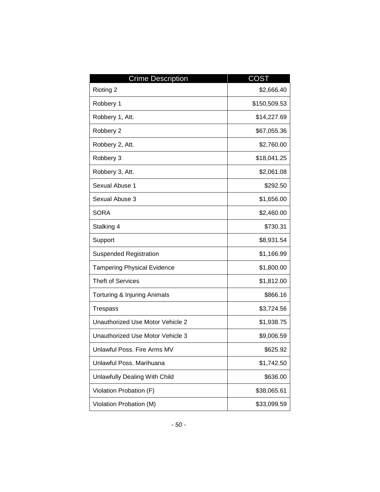| <b>Crime Description</b>           | <b>COST</b>  |
|------------------------------------|--------------|
| Rioting 2                          | \$2,666.40   |
| Robbery 1                          | \$150,509.53 |
| Robbery 1, Att.                    | \$14,227.69  |
| Robbery 2                          | \$67,055.36  |
| Robbery 2, Att.                    | \$2,760.00   |
| Robbery 3                          | \$18,041.25  |
| Robbery 3, Att.                    | \$2,061.08   |
| Sexual Abuse 1                     | \$292.50     |
| Sexual Abuse 3                     | \$1,656.00   |
| <b>SORA</b>                        | \$2,460.00   |
| Stalking 4                         | \$730.31     |
| Support                            | \$8,931.54   |
| <b>Suspended Registration</b>      | \$1,166.99   |
| <b>Tampering Physical Evidence</b> | \$1,800.00   |
| <b>Theft of Services</b>           | \$1,812.00   |
| Torturing & Injuring Animals       | \$866.16     |
| <b>Trespass</b>                    | \$3,724.56   |
| Unauthorized Use Motor Vehicle 2   | \$1,938.75   |
| Unauthorized Use Motor Vehicle 3   | \$9,006.59   |
| Unlawful Poss. Fire Arms MV        | \$625.92     |
| Unlawful Poss. Marihuana           | \$1,742.50   |
| Unlawfully Dealing With Child      | \$636.00     |
| Violation Probation (F)            | \$38,065.61  |
| Violation Probation (M)            | \$33,099.59  |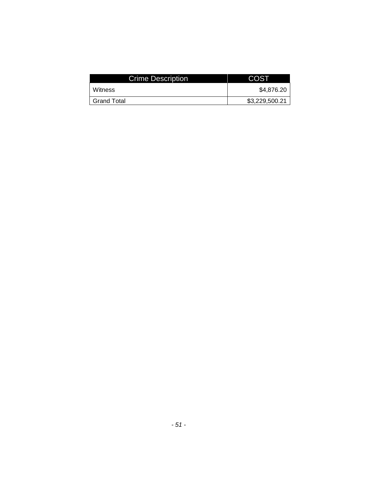| <b>Crime Description</b> | <b>COST</b>    |
|--------------------------|----------------|
| Witness                  | \$4,876.20     |
| <b>Grand Total</b>       | \$3,229,500.21 |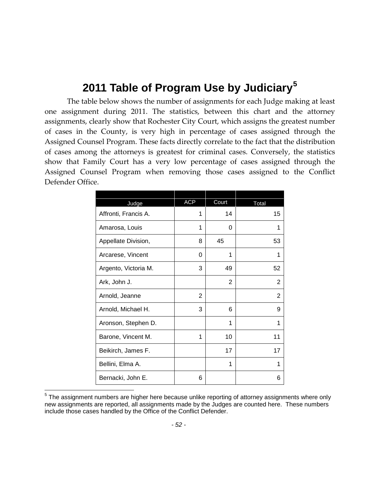#### **2011 Table of Program Use by Judiciary[5](#page-53-0)**

The table below shows the number of assignments for each Judge making at least one assignment during 2011. The statistics, between this chart and the attorney assignments, clearly show that Rochester City Court, which assigns the greatest number of cases in the County, is very high in percentage of cases assigned through the Assigned Counsel Program. These facts directly correlate to the fact that the distribution of cases among the attorneys is greatest for criminal cases. Conversely, the statistics show that Family Court has a very low percentage of cases assigned through the Assigned Counsel Program when removing those cases assigned to the Conflict Defender Office.

| Judge                | <b>ACP</b> | Court          | Total          |
|----------------------|------------|----------------|----------------|
| Affronti, Francis A. | 1          | 14             | 15             |
| Amarosa, Louis       | 1          | 0              | 1              |
| Appellate Division,  | 8          | 45             | 53             |
| Arcarese, Vincent    | 0          | 1              | 1              |
| Argento, Victoria M. | 3          | 49             | 52             |
| Ark, John J.         |            | $\overline{2}$ | 2              |
| Arnold, Jeanne       | 2          |                | $\overline{2}$ |
| Arnold, Michael H.   | 3          | 6              | 9              |
| Aronson, Stephen D.  |            | 1              | 1              |
| Barone, Vincent M.   | 1          | 10             | 11             |
| Beikirch, James F.   |            | 17             | 17             |
| Bellini, Elma A.     |            | 1              | 1              |
| Bernacki, John E.    | 6          |                | 6              |

<span id="page-53-0"></span> $5$  The assignment numbers are higher here because unlike reporting of attorney assignments where only new assignments are reported, all assignments made by the Judges are counted here. These numbers include those cases handled by the Office of the Conflict Defender.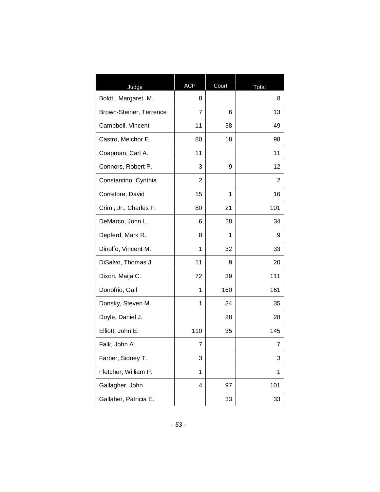| Judge                   | <b>ACP</b>              | Court | Total |
|-------------------------|-------------------------|-------|-------|
| Boldt, Margaret M.      | 8                       |       | 8     |
| Brown-Steiner, Terrence | 7                       | 6     | 13    |
| Campbell, Vincent       | 11                      | 38    | 49    |
| Castro, Melchor E.      | 80                      | 18    | 98    |
| Coapman, Carl A.        | 11                      |       | 11    |
| Connors, Robert P.      | 3                       | 9     | 12    |
| Constantino, Cynthia    | $\overline{2}$          |       | 2     |
| Corretore, David        | 15                      | 1     | 16    |
| Crimi, Jr., Charles F.  | 80                      | 21    | 101   |
| DeMarco, John L.        | 6                       | 28    | 34    |
| Depferd, Mark R.        | 8                       | 1     | 9     |
| Dinolfo, Vincent M.     | 1                       | 32    | 33    |
| DiSalvo, Thomas J.      | 11                      | 9     | 20    |
| Dixon, Maija C.         | 72                      | 39    | 111   |
| Donofrio, Gail          | 1                       | 160   | 161   |
| Donsky, Steven M.       | 1                       | 34    | 35    |
| Doyle, Daniel J.        |                         | 28    | 28    |
| Elliott, John E.        | 110                     | 35    | 145   |
| Falk, John A.           | 7                       |       | 7     |
| Farber, Sidney T.       | 3                       |       | 3     |
| Fletcher, William P.    | 1                       |       | 1     |
| Gallagher, John         | $\overline{\mathbf{4}}$ | 97    | 101   |
| Gallaher, Patricia E.   |                         | 33    | 33    |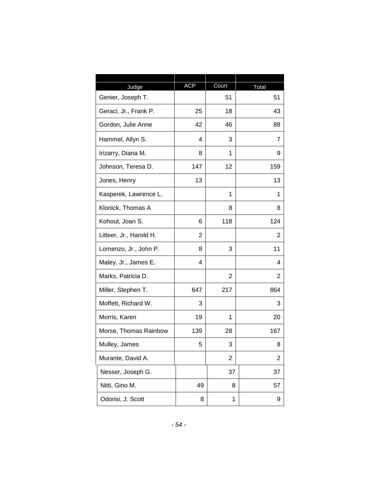| Judge                   | <b>ACP</b> | Court                   | Total |
|-------------------------|------------|-------------------------|-------|
| Genier, Joseph T.       |            | 51                      | 51    |
| Geraci, Jr., Frank P.   | 25         | 18                      | 43    |
| Gordon, Julie Anne      | 42         | 46                      | 88    |
| Hammel, Allyn S.        | 4          | 3                       | 7     |
| Irizarry, Diana M.      | 8          | 1                       | 9     |
| Johnson, Teresa D.      | 147        | 12                      | 159   |
| Jones, Henry            | 13         |                         | 13    |
| Kasperek, Lawrence L.   |            | 1                       | 1     |
| Klonick, Thomas A       |            | 8                       | 8     |
| Kohout, Joan S.         | 6          | 118                     | 124   |
| Litteer, Jr., Harold H. | 2          |                         | 2     |
| Lomenzo, Jr., John P.   | 8          | 3                       | 11    |
| Maley, Jr., James E.    | 4          |                         | 4     |
| Marks, Patricia D.      |            | 2                       | 2     |
| Miller, Stephen T.      | 647        | 217                     | 864   |
| Moffett, Richard W.     | 3          |                         | 3     |
| Morris, Karen           | 19         | 1                       | 20    |
| Morse, Thomas Rainbow   | 139        | 28                      | 167   |
| Mulley, James           | 5          | 3                       | 8     |
| Murante, David A.       |            | $\overline{\mathbf{c}}$ | 2     |
| Nesser, Joseph G.       |            | 37                      | 37    |
| Nitti, Gino M.          | 49         | 8                       | 57    |
| Odorisi, J. Scott       | 8          | 1                       | 9     |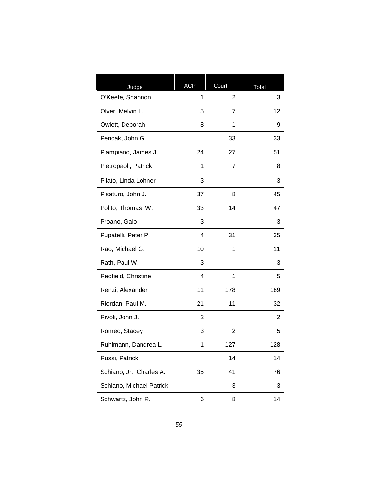| Judge                    | <b>ACP</b> | Court          | Total |
|--------------------------|------------|----------------|-------|
| O'Keefe, Shannon         | 1          | $\overline{2}$ | 3     |
| Olver, Melvin L.         | 5          | 7              | 12    |
| Owlett, Deborah          | 8          | 1              | 9     |
| Pericak, John G.         |            | 33             | 33    |
| Piampiano, James J.      | 24         | 27             | 51    |
| Pietropaoli, Patrick     | 1          | 7              | 8     |
| Pilato, Linda Lohner     | 3          |                | 3     |
| Pisaturo, John J.        | 37         | 8              | 45    |
| Polito, Thomas W.        | 33         | 14             | 47    |
| Proano, Galo             | 3          |                | 3     |
| Pupatelli, Peter P.      | 4          | 31             | 35    |
| Rao, Michael G.          | 10         | 1              | 11    |
| Rath, Paul W.            | 3          |                | 3     |
| Redfield, Christine      | 4          | 1              | 5     |
| Renzi, Alexander         | 11         | 178            | 189   |
| Riordan, Paul M.         | 21         | 11             | 32    |
| Rivoli, John J.          | 2          |                | 2     |
| Romeo, Stacey            | 3          | 2              | 5     |
| Ruhlmann, Dandrea L.     | 1          | 127            | 128   |
| Russi, Patrick           |            | 14             | 14    |
| Schiano, Jr., Charles A. | 35         | 41             | 76    |
| Schiano, Michael Patrick |            | 3              | 3     |
| Schwartz, John R.        | 6          | 8              | 14    |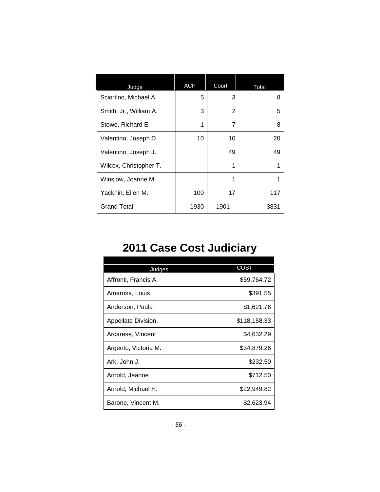| Judge                  | <b>ACP</b> | Court | Total |
|------------------------|------------|-------|-------|
| Sciortino, Michael A.  | 5          | 3     | 8     |
| Smith, Jr., William A. | 3          | 2     | 5     |
| Stowe, Richard E.      | 1          | 7     | 8     |
| Valentino, Joseph D.   | 10         | 10    | 20    |
| Valentino, Joseph J.   |            | 49    | 49    |
| Wilcox, Christopher T. |            | 1     | 1     |
| Winslow, Joanne M.     |            | 1     |       |
| Yacknin, Ellen M.      | 100        | 17    | 117   |
| <b>Grand Total</b>     | 1930       | 1901  | 3831  |

## **2011 Case Cost Judiciary**

| Judges               | <b>COST</b>  |
|----------------------|--------------|
| Affronti, Francis A. | \$59,764.72  |
| Amarosa, Louis       | \$391.55     |
| Anderson, Paula      | \$1,621.76   |
| Appellate Division,  | \$118,158.33 |
| Arcarese, Vincent    | \$4,632.29   |
| Argento, Victoria M. | \$34,879.26  |
| Ark, John J.         | \$232.50     |
| Arnold, Jeanne       | \$712.50     |
| Arnold, Michael H.   | \$22,949.82  |
| Barone, Vincent M.   | \$2,623.94   |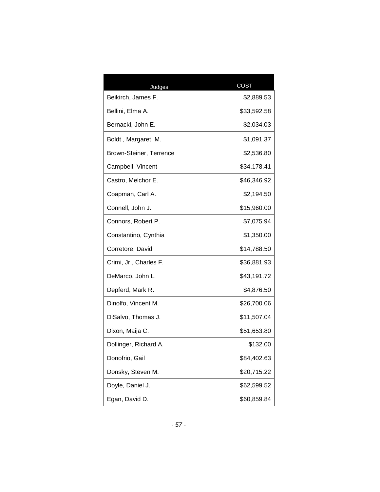| Judges                         | COST        |
|--------------------------------|-------------|
| Beikirch, James F.             | \$2,889.53  |
| Bellini, Elma A.               | \$33,592.58 |
| Bernacki, John E.              | \$2,034.03  |
| Boldt, Margaret M.             | \$1,091.37  |
| <b>Brown-Steiner, Terrence</b> | \$2,536.80  |
| Campbell, Vincent              | \$34,178.41 |
| Castro, Melchor E.             | \$46,346.92 |
| Coapman, Carl A.               | \$2,194.50  |
| Connell, John J.               | \$15,960.00 |
| Connors, Robert P.             | \$7,075.94  |
| Constantino, Cynthia           | \$1,350.00  |
| Corretore, David               | \$14,788.50 |
| Crimi, Jr., Charles F.         | \$36,881.93 |
| DeMarco, John L.               | \$43,191.72 |
| Depferd, Mark R.               | \$4,876.50  |
| Dinolfo, Vincent M.            | \$26,700.06 |
| DiSalvo, Thomas J.             | \$11,507.04 |
| Dixon, Maija C.                | \$51,653.80 |
| Dollinger, Richard A.          | \$132.00    |
| Donofrio, Gail                 | \$84,402.63 |
| Donsky, Steven M.              | \$20,715.22 |
| Doyle, Daniel J.               | \$62,599.52 |
| Egan, David D.                 | \$60,859.84 |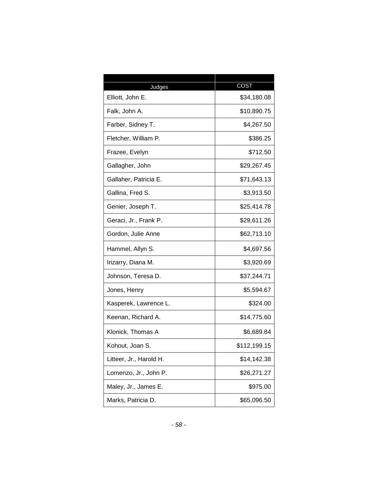| Judges                  | COST         |
|-------------------------|--------------|
| Elliott, John E.        | \$34,180.08  |
| Falk, John A.           | \$10,890.75  |
| Farber, Sidney T.       | \$4,267.50   |
| Fletcher, William P.    | \$386.25     |
| Frazee, Evelyn          | \$712.50     |
| Gallagher, John         | \$29,267.45  |
| Gallaher, Patricia E.   | \$71,643.13  |
| Gallina, Fred S.        | \$3,913.50   |
| Genier, Joseph T.       | \$25,414.78  |
| Geraci, Jr., Frank P.   | \$29,611.26  |
| Gordon, Julie Anne      | \$62,713.10  |
| Hammel, Allyn S.        | \$4,697.56   |
| Irizarry, Diana M.      | \$3,920.69   |
| Johnson, Teresa D.      | \$37,244.71  |
| Jones, Henry            | \$5,594.67   |
| Kasperek, Lawrence L.   | \$324.00     |
| Keenan, Richard A.      | \$14,775.60  |
| Klonick, Thomas A       | \$6,689.84   |
| Kohout, Joan S.         | \$112,199.15 |
| Litteer, Jr., Harold H. | \$14,142.38  |
| Lomenzo, Jr., John P.   | \$26,271.27  |
| Maley, Jr., James E.    | \$975.00     |
| Marks, Patricia D.      | \$65,096.50  |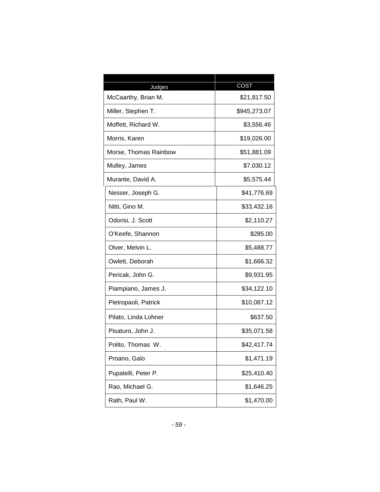| Judges                | COST         |
|-----------------------|--------------|
| McCaarthy, Brian M.   | \$21,817.50  |
| Miller, Stephen T.    | \$945,273.07 |
| Moffett, Richard W.   | \$3,556.46   |
| Morris, Karen         | \$19,026.00  |
| Morse, Thomas Rainbow | \$51,881.09  |
| Mulley, James         | \$7,030.12   |
| Murante, David A.     | \$5,575.44   |
| Nesser, Joseph G.     | \$41,776.69  |
| Nitti, Gino M.        | \$33,432.16  |
| Odorisi, J. Scott     | \$2,110.27   |
| O'Keefe, Shannon      | \$285.00     |
| Olver, Melvin L.      | \$5,488.77   |
| Owlett, Deborah       | \$1,666.32   |
| Pericak, John G.      | \$9,931.95   |
| Piampiano, James J.   | \$34,122.10  |
| Pietropaoli, Patrick  | \$10,087.12  |
| Pilato, Linda Lohner  | \$637.50     |
| Pisaturo, John J.     | \$35,071.58  |
| Polito, Thomas W.     | \$42,417.74  |
| Proano, Galo          | \$1,471.19   |
| Pupatelli, Peter P.   | \$25,410.40  |
| Rao, Michael G.       | \$1,646.25   |
| Rath, Paul W.         | \$1,470.00   |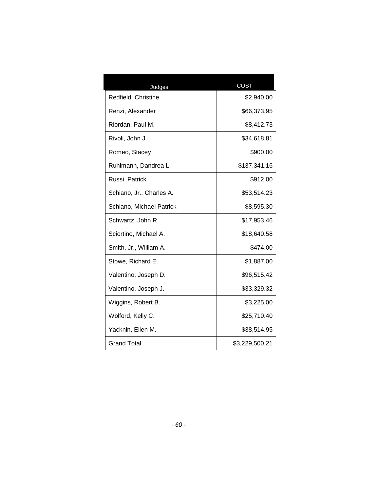| Judges                   | COST           |
|--------------------------|----------------|
| Redfield, Christine      | \$2,940.00     |
| Renzi, Alexander         | \$66,373.95    |
| Riordan, Paul M.         | \$8,412.73     |
| Rivoli, John J.          | \$34,618.81    |
| Romeo, Stacey            | \$900.00       |
| Ruhlmann, Dandrea L.     | \$137,341.16   |
| Russi, Patrick           | \$912.00       |
| Schiano, Jr., Charles A. | \$53,514.23    |
| Schiano, Michael Patrick | \$8,595.30     |
| Schwartz, John R.        | \$17,953.46    |
| Sciortino, Michael A.    | \$18,640.58    |
| Smith, Jr., William A.   | \$474.00       |
| Stowe, Richard E.        | \$1,887.00     |
| Valentino, Joseph D.     | \$96,515.42    |
| Valentino, Joseph J.     | \$33,329.32    |
| Wiggins, Robert B.       | \$3,225.00     |
| Wolford, Kelly C.        | \$25,710.40    |
| Yacknin, Ellen M.        | \$38,514.95    |
| <b>Grand Total</b>       | \$3,229,500.21 |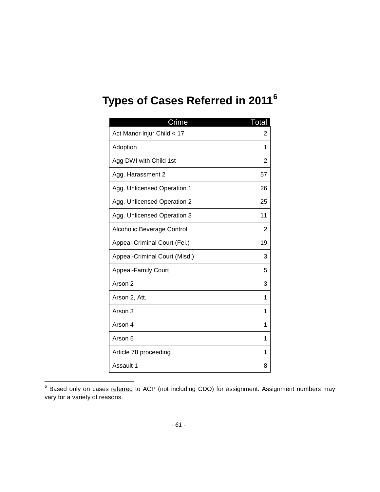# **Types of Cases Referred in 2011[6](#page-62-0)**

| Crime                         | Total |
|-------------------------------|-------|
| Act Manor Injur Child < 17    | 2     |
| Adoption                      | 1     |
| Agg DWI with Child 1st        | 2     |
| Agg. Harassment 2             | 57    |
| Agg. Unlicensed Operation 1   | 26    |
| Agg. Unlicensed Operation 2   | 25    |
| Agg. Unlicensed Operation 3   | 11    |
| Alcoholic Beverage Control    | 2     |
| Appeal-Criminal Court (Fel.)  | 19    |
| Appeal-Criminal Court (Misd.) | 3     |
| <b>Appeal-Family Court</b>    | 5     |
| Arson 2                       | 3     |
| Arson 2, Att.                 | 1     |
| Arson 3                       | 1     |
| Arson 4                       | 1     |
| Arson 5                       | 1     |
| Article 78 proceeding         | 1     |
| Assault 1                     | 8     |

<span id="page-62-0"></span><sup>&</sup>lt;sup>6</sup> Based only on cases referred to ACP (not including CDO) for assignment. Assignment numbers may vary for a variety of reasons.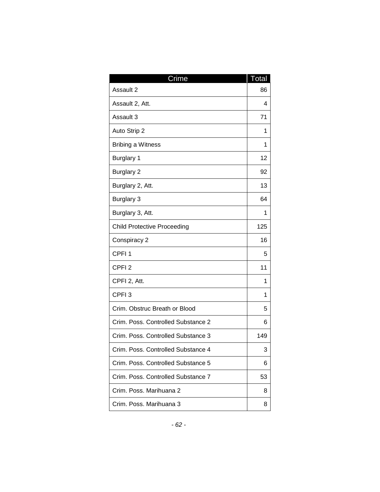| Crime                              | Total |
|------------------------------------|-------|
| Assault 2                          | 86    |
| Assault 2, Att.                    | 4     |
| Assault 3                          | 71    |
| Auto Strip 2                       | 1     |
| <b>Bribing a Witness</b>           | 1     |
| Burglary 1                         | 12    |
| <b>Burglary 2</b>                  | 92    |
| Burglary 2, Att.                   | 13    |
| <b>Burglary 3</b>                  | 64    |
| Burglary 3, Att.                   | 1     |
| <b>Child Protective Proceeding</b> | 125   |
| Conspiracy 2                       | 16    |
| CPFI <sub>1</sub>                  | 5     |
| CPFI <sub>2</sub>                  | 11    |
| CPFI 2, Att.                       | 1     |
| CPFI <sub>3</sub>                  | 1     |
| Crim. Obstruc Breath or Blood      | 5     |
| Crim. Poss. Controlled Substance 2 | 6     |
| Crim. Poss. Controlled Substance 3 | 149   |
| Crim, Poss, Controlled Substance 4 | 3     |
| Crim. Poss. Controlled Substance 5 | 6     |
| Crim. Poss. Controlled Substance 7 | 53    |
| Crim. Poss. Marihuana 2            | 8     |
| Crim. Poss. Marihuana 3            | 8     |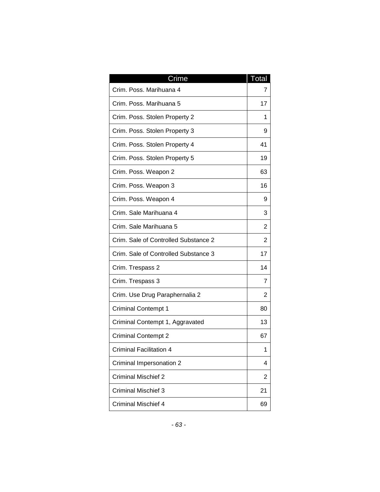| Crime                                | Total |
|--------------------------------------|-------|
| Crim. Poss. Marihuana 4              | 7     |
| Crim. Poss. Marihuana 5              | 17    |
| Crim. Poss. Stolen Property 2        | 1     |
| Crim. Poss. Stolen Property 3        | 9     |
| Crim. Poss. Stolen Property 4        | 41    |
| Crim. Poss. Stolen Property 5        | 19    |
| Crim. Poss. Weapon 2                 | 63    |
| Crim. Poss. Weapon 3                 | 16    |
| Crim. Poss. Weapon 4                 | 9     |
| Crim. Sale Marihuana 4               | 3     |
| Crim. Sale Marihuana 5               | 2     |
| Crim. Sale of Controlled Substance 2 | 2     |
| Crim. Sale of Controlled Substance 3 | 17    |
| Crim. Trespass 2                     | 14    |
| Crim. Trespass 3                     | 7     |
| Crim. Use Drug Paraphernalia 2       | 2     |
| <b>Criminal Contempt 1</b>           | 80    |
| Criminal Contempt 1, Aggravated      | 13    |
| <b>Criminal Contempt 2</b>           | 67    |
| Criminal Facilitation 4              | 1     |
| Criminal Impersonation 2             | 4     |
| <b>Criminal Mischief 2</b>           | 2     |
| Criminal Mischief 3                  | 21    |
| <b>Criminal Mischief 4</b>           | 69    |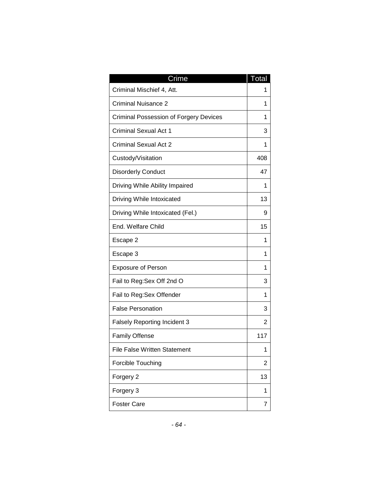| Crime                                         | Total |
|-----------------------------------------------|-------|
| Criminal Mischief 4, Att.                     | 1     |
| <b>Criminal Nuisance 2</b>                    | 1     |
| <b>Criminal Possession of Forgery Devices</b> | 1     |
| <b>Criminal Sexual Act 1</b>                  | 3     |
| <b>Criminal Sexual Act 2</b>                  | 1     |
| Custody/Visitation                            | 408   |
| <b>Disorderly Conduct</b>                     | 47    |
| Driving While Ability Impaired                | 1     |
| Driving While Intoxicated                     | 13    |
| Driving While Intoxicated (Fel.)              | 9     |
| End. Welfare Child                            | 15    |
| Escape 2                                      | 1     |
| Escape 3                                      | 1     |
| <b>Exposure of Person</b>                     | 1     |
| Fail to Reg: Sex Off 2nd O                    | 3     |
| Fail to Reg:Sex Offender                      | 1     |
| <b>False Personation</b>                      | 3     |
| <b>Falsely Reporting Incident 3</b>           | 2     |
| <b>Family Offense</b>                         | 117   |
| File False Written Statement                  | 1     |
| Forcible Touching                             | 2     |
| Forgery 2                                     | 13    |
| Forgery 3                                     | 1     |
| <b>Foster Care</b>                            | 7     |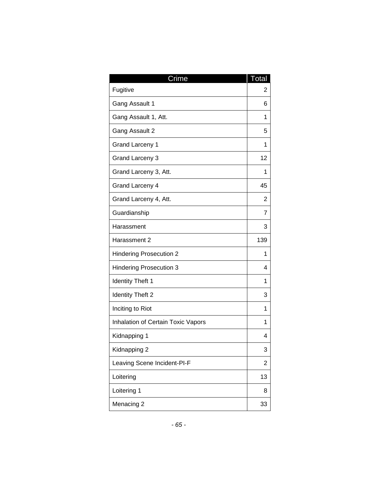| Crime                              | Total |
|------------------------------------|-------|
| Fugitive                           | 2     |
| Gang Assault 1                     | 6     |
| Gang Assault 1, Att.               | 1     |
| Gang Assault 2                     | 5     |
| <b>Grand Larceny 1</b>             | 1     |
| <b>Grand Larceny 3</b>             | 12    |
| Grand Larceny 3, Att.              | 1     |
| Grand Larceny 4                    | 45    |
| Grand Larceny 4, Att.              | 2     |
| Guardianship                       | 7     |
| Harassment                         | 3     |
| Harassment 2                       | 139   |
| <b>Hindering Prosecution 2</b>     | 1     |
| <b>Hindering Prosecution 3</b>     | 4     |
| <b>Identity Theft 1</b>            | 1     |
| <b>Identity Theft 2</b>            | 3     |
| Inciting to Riot                   | 1     |
| Inhalation of Certain Toxic Vapors | 1     |
| Kidnapping 1                       | 4     |
| Kidnapping 2                       | 3     |
| Leaving Scene Incident-PI-F        | 2     |
| Loitering                          | 13    |
| Loitering 1                        | 8     |
| Menacing 2                         | 33    |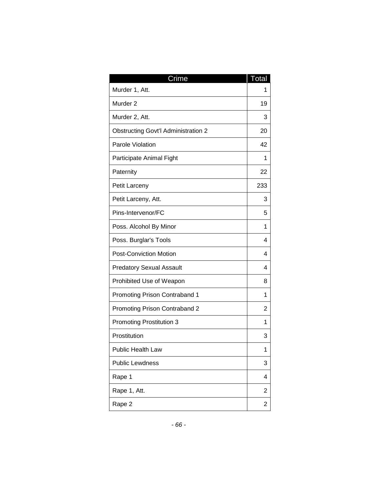| Crime                                      | Total |
|--------------------------------------------|-------|
| Murder 1, Att.                             | 1     |
| Murder <sub>2</sub>                        | 19    |
| Murder 2, Att.                             | 3     |
| <b>Obstructing Govt'l Administration 2</b> | 20    |
| Parole Violation                           | 42    |
| Participate Animal Fight                   | 1     |
| Paternity                                  | 22    |
| Petit Larceny                              | 233   |
| Petit Larceny, Att.                        | 3     |
| Pins-Intervenor/FC                         | 5     |
| Poss. Alcohol By Minor                     | 1     |
| Poss. Burglar's Tools                      | 4     |
| <b>Post-Conviction Motion</b>              | 4     |
| <b>Predatory Sexual Assault</b>            | 4     |
| Prohibited Use of Weapon                   | 8     |
| Promoting Prison Contraband 1              | 1     |
| Promoting Prison Contraband 2              | 2     |
| <b>Promoting Prostitution 3</b>            | 1     |
| Prostitution                               | 3     |
| Public Health Law                          | 1     |
| <b>Public Lewdness</b>                     | 3     |
| Rape 1                                     | 4     |
| Rape 1, Att.                               | 2     |
| Rape 2                                     | 2     |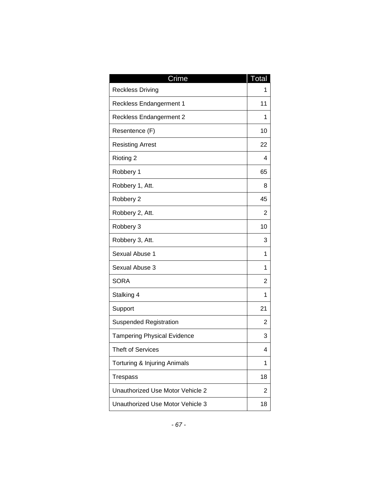| Crime                              | Total |
|------------------------------------|-------|
| <b>Reckless Driving</b>            | 1     |
| <b>Reckless Endangerment 1</b>     | 11    |
| <b>Reckless Endangerment 2</b>     | 1     |
| Resentence (F)                     | 10    |
| <b>Resisting Arrest</b>            | 22    |
| Rioting 2                          | 4     |
| Robbery 1                          | 65    |
| Robbery 1, Att.                    | 8     |
| Robbery 2                          | 45    |
| Robbery 2, Att.                    | 2     |
| Robbery 3                          | 10    |
| Robbery 3, Att.                    | 3     |
| Sexual Abuse 1                     | 1     |
| Sexual Abuse 3                     | 1     |
| <b>SORA</b>                        | 2     |
| Stalking 4                         | 1     |
| Support                            | 21    |
| <b>Suspended Registration</b>      | 2     |
| <b>Tampering Physical Evidence</b> | 3     |
| Theft of Services                  | 4     |
| Torturing & Injuring Animals       | 1     |
| <b>Trespass</b>                    | 18    |
| Unauthorized Use Motor Vehicle 2   | 2     |
| Unauthorized Use Motor Vehicle 3   | 18    |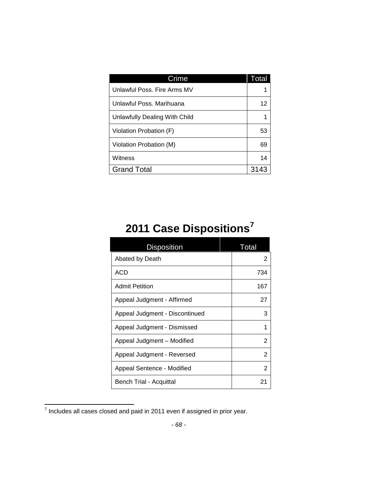| Crime                         | Total |
|-------------------------------|-------|
| Unlawful Poss, Fire Arms MV   |       |
| Unlawful Poss, Marihuana      | 12    |
| Unlawfully Dealing With Child | 1     |
| Violation Probation (F)       | 53    |
| Violation Probation (M)       | 69    |
| Witness                       | 14    |
| <b>Grand Total</b>            | 3143  |

# **2011 Case Dispositions[7](#page-69-0)**

| <b>Disposition</b>             | Total |
|--------------------------------|-------|
| Abated by Death                | 2     |
| ACD                            | 734   |
| <b>Admit Petition</b>          | 167   |
| Appeal Judgment - Affirmed     | 27    |
| Appeal Judgment - Discontinued | З     |
| Appeal Judgment - Dismissed    | 1     |
| Appeal Judgment - Modified     | 2     |
| Appeal Judgment - Reversed     | 2     |
| Appeal Sentence - Modified     | 2     |
| Bench Trial - Acquittal        | 21    |

<span id="page-69-0"></span> $\frac{7}{7}$  Includes all cases closed and paid in 2011 even if assigned in prior year.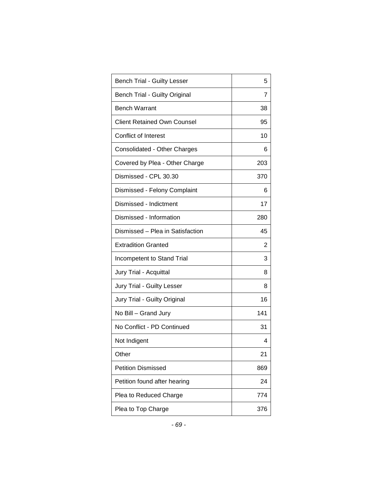| <b>Bench Trial - Guilty Lesser</b>   | 5   |
|--------------------------------------|-----|
| <b>Bench Trial - Guilty Original</b> | 7   |
| <b>Bench Warrant</b>                 | 38  |
| <b>Client Retained Own Counsel</b>   | 95  |
| Conflict of Interest                 | 10  |
| Consolidated - Other Charges         | 6   |
| Covered by Plea - Other Charge       | 203 |
| Dismissed - CPL 30.30                | 370 |
| Dismissed - Felony Complaint         | 6   |
| Dismissed - Indictment               | 17  |
| Dismissed - Information              | 280 |
| Dismissed - Plea in Satisfaction     | 45  |
| <b>Extradition Granted</b>           | 2   |
| Incompetent to Stand Trial           | 3   |
| Jury Trial - Acquittal               | 8   |
| <b>Jury Trial - Guilty Lesser</b>    | 8   |
| Jury Trial - Guilty Original         | 16  |
| No Bill - Grand Jury                 | 141 |
| No Conflict - PD Continued           | 31  |
| Not Indigent                         | 4   |
| Other                                | 21  |
| <b>Petition Dismissed</b>            | 869 |
| Petition found after hearing         | 24  |
| Plea to Reduced Charge               | 774 |
| Plea to Top Charge                   | 376 |